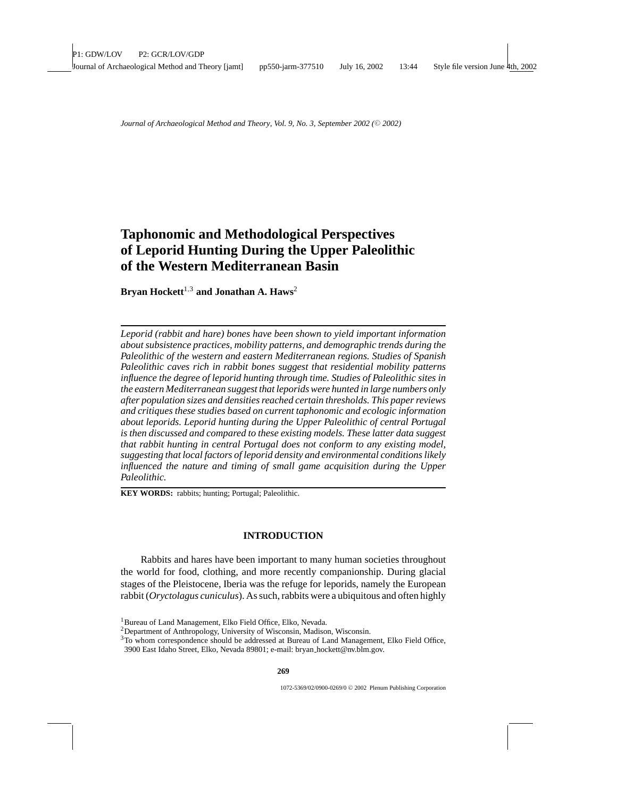## **Taphonomic and Methodological Perspectives of Leporid Hunting During the Upper Paleolithic of the Western Mediterranean Basin**

**Bryan Hockett**<sup>1</sup>,<sup>3</sup> **and Jonathan A. Haws**<sup>2</sup>

*Leporid (rabbit and hare) bones have been shown to yield important information about subsistence practices, mobility patterns, and demographic trends during the Paleolithic of the western and eastern Mediterranean regions. Studies of Spanish Paleolithic caves rich in rabbit bones suggest that residential mobility patterns influence the degree of leporid hunting through time. Studies of Paleolithic sites in the eastern Mediterranean suggest that leporids were hunted in large numbers only after population sizes and densities reached certain thresholds. This paper reviews and critiques these studies based on current taphonomic and ecologic information about leporids. Leporid hunting during the Upper Paleolithic of central Portugal is then discussed and compared to these existing models. These latter data suggest that rabbit hunting in central Portugal does not conform to any existing model, suggesting that local factors of leporid density and environmental conditions likely influenced the nature and timing of small game acquisition during the Upper Paleolithic.*

**KEY WORDS:** rabbits; hunting; Portugal; Paleolithic.

## **INTRODUCTION**

Rabbits and hares have been important to many human societies throughout the world for food, clothing, and more recently companionship. During glacial stages of the Pleistocene, Iberia was the refuge for leporids, namely the European rabbit (*Oryctolagus cuniculus*). As such, rabbits were a ubiquitous and often highly

<sup>&</sup>lt;sup>1</sup> Bureau of Land Management, Elko Field Office, Elko, Nevada.

<sup>2</sup>Department of Anthropology, University of Wisconsin, Madison, Wisconsin.

<sup>&</sup>lt;sup>3</sup>To whom correspondence should be addressed at Bureau of Land Management, Elko Field Office, 3900 East Idaho Street, Elko, Nevada 89801; e-mail: bryan hockett@nv.blm.gov.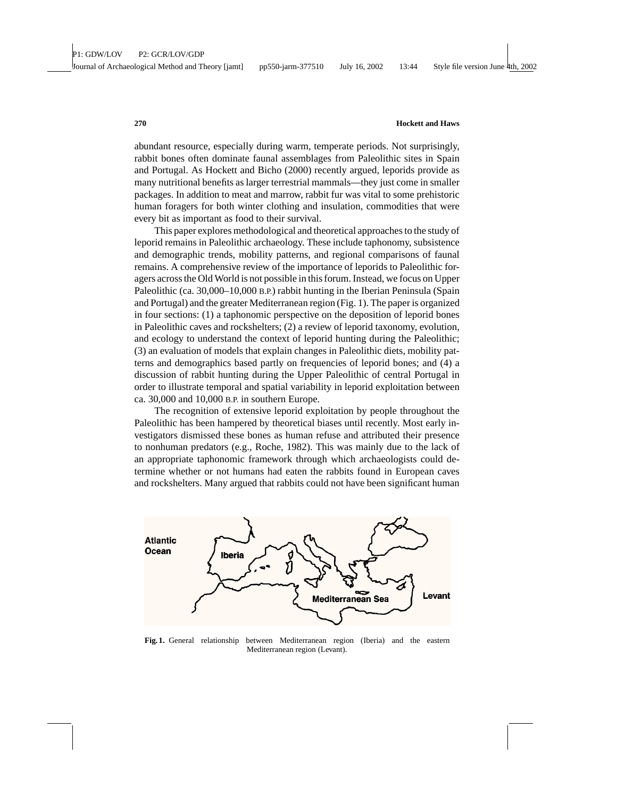abundant resource, especially during warm, temperate periods. Not surprisingly, rabbit bones often dominate faunal assemblages from Paleolithic sites in Spain and Portugal. As Hockett and Bicho (2000) recently argued, leporids provide as many nutritional benefits as larger terrestrial mammals—they just come in smaller packages. In addition to meat and marrow, rabbit fur was vital to some prehistoric human foragers for both winter clothing and insulation, commodities that were every bit as important as food to their survival.

This paper explores methodological and theoretical approaches to the study of leporid remains in Paleolithic archaeology. These include taphonomy, subsistence and demographic trends, mobility patterns, and regional comparisons of faunal remains. A comprehensive review of the importance of leporids to Paleolithic foragers across the Old World is not possible in this forum. Instead, we focus on Upper Paleolithic (ca. 30,000–10,000 B.P.) rabbit hunting in the Iberian Peninsula (Spain and Portugal) and the greater Mediterranean region (Fig. 1). The paper is organized in four sections: (1) a taphonomic perspective on the deposition of leporid bones in Paleolithic caves and rockshelters; (2) a review of leporid taxonomy, evolution, and ecology to understand the context of leporid hunting during the Paleolithic; (3) an evaluation of models that explain changes in Paleolithic diets, mobility patterns and demographics based partly on frequencies of leporid bones; and (4) a discussion of rabbit hunting during the Upper Paleolithic of central Portugal in order to illustrate temporal and spatial variability in leporid exploitation between ca. 30,000 and 10,000 B.P. in southern Europe.

The recognition of extensive leporid exploitation by people throughout the Paleolithic has been hampered by theoretical biases until recently. Most early investigators dismissed these bones as human refuse and attributed their presence to nonhuman predators (e.g., Roche, 1982). This was mainly due to the lack of an appropriate taphonomic framework through which archaeologists could determine whether or not humans had eaten the rabbits found in European caves and rockshelters. Many argued that rabbits could not have been significant human



**Fig. 1.** General relationship between Mediterranean region (Iberia) and the eastern Mediterranean region (Levant).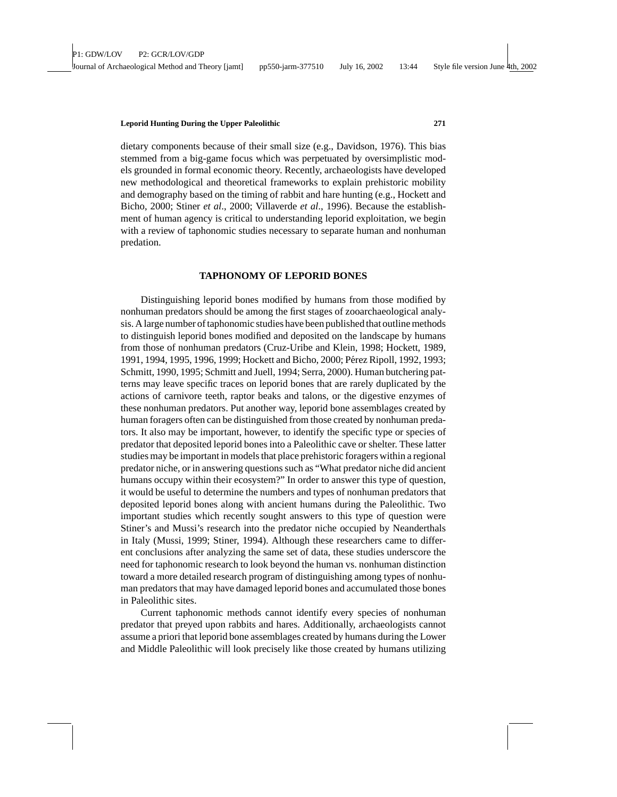dietary components because of their small size (e.g., Davidson, 1976). This bias stemmed from a big-game focus which was perpetuated by oversimplistic models grounded in formal economic theory. Recently, archaeologists have developed new methodological and theoretical frameworks to explain prehistoric mobility and demography based on the timing of rabbit and hare hunting (e.g., Hockett and Bicho, 2000; Stiner *et al*., 2000; Villaverde *et al*., 1996). Because the establishment of human agency is critical to understanding leporid exploitation, we begin with a review of taphonomic studies necessary to separate human and nonhuman predation.

## **TAPHONOMY OF LEPORID BONES**

Distinguishing leporid bones modified by humans from those modified by nonhuman predators should be among the first stages of zooarchaeological analysis. A large number of taphonomic studies have been published that outline methods to distinguish leporid bones modified and deposited on the landscape by humans from those of nonhuman predators (Cruz-Uribe and Klein, 1998; Hockett, 1989, 1991, 1994, 1995, 1996, 1999; Hockett and Bicho, 2000; Pérez Ripoll, 1992, 1993; Schmitt, 1990, 1995; Schmitt and Juell, 1994; Serra, 2000). Human butchering patterns may leave specific traces on leporid bones that are rarely duplicated by the actions of carnivore teeth, raptor beaks and talons, or the digestive enzymes of these nonhuman predators. Put another way, leporid bone assemblages created by human foragers often can be distinguished from those created by nonhuman predators. It also may be important, however, to identify the specific type or species of predator that deposited leporid bones into a Paleolithic cave or shelter. These latter studies may be important in models that place prehistoric foragers within a regional predator niche, or in answering questions such as "What predator niche did ancient humans occupy within their ecosystem?" In order to answer this type of question, it would be useful to determine the numbers and types of nonhuman predators that deposited leporid bones along with ancient humans during the Paleolithic. Two important studies which recently sought answers to this type of question were Stiner's and Mussi's research into the predator niche occupied by Neanderthals in Italy (Mussi, 1999; Stiner, 1994). Although these researchers came to different conclusions after analyzing the same set of data, these studies underscore the need for taphonomic research to look beyond the human vs. nonhuman distinction toward a more detailed research program of distinguishing among types of nonhuman predators that may have damaged leporid bones and accumulated those bones in Paleolithic sites.

Current taphonomic methods cannot identify every species of nonhuman predator that preyed upon rabbits and hares. Additionally, archaeologists cannot assume a priori that leporid bone assemblages created by humans during the Lower and Middle Paleolithic will look precisely like those created by humans utilizing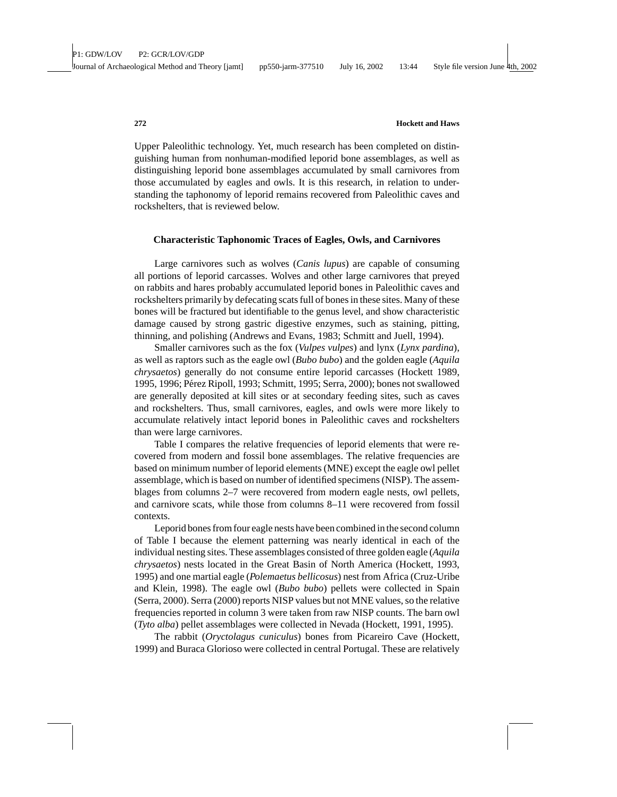Upper Paleolithic technology. Yet, much research has been completed on distinguishing human from nonhuman-modified leporid bone assemblages, as well as distinguishing leporid bone assemblages accumulated by small carnivores from those accumulated by eagles and owls. It is this research, in relation to understanding the taphonomy of leporid remains recovered from Paleolithic caves and rockshelters, that is reviewed below.

## **Characteristic Taphonomic Traces of Eagles, Owls, and Carnivores**

Large carnivores such as wolves (*Canis lupus*) are capable of consuming all portions of leporid carcasses. Wolves and other large carnivores that preyed on rabbits and hares probably accumulated leporid bones in Paleolithic caves and rockshelters primarily by defecating scats full of bones in these sites. Many of these bones will be fractured but identifiable to the genus level, and show characteristic damage caused by strong gastric digestive enzymes, such as staining, pitting, thinning, and polishing (Andrews and Evans, 1983; Schmitt and Juell, 1994).

Smaller carnivores such as the fox (*Vulpes vulpes*) and lynx (*Lynx pardina*), as well as raptors such as the eagle owl (*Bubo bubo*) and the golden eagle (*Aquila chrysaetos*) generally do not consume entire leporid carcasses (Hockett 1989, 1995, 1996; Pérez Ripoll, 1993; Schmitt, 1995; Serra, 2000); bones not swallowed are generally deposited at kill sites or at secondary feeding sites, such as caves and rockshelters. Thus, small carnivores, eagles, and owls were more likely to accumulate relatively intact leporid bones in Paleolithic caves and rockshelters than were large carnivores.

Table I compares the relative frequencies of leporid elements that were recovered from modern and fossil bone assemblages. The relative frequencies are based on minimum number of leporid elements (MNE) except the eagle owl pellet assemblage, which is based on number of identified specimens (NISP). The assemblages from columns 2–7 were recovered from modern eagle nests, owl pellets, and carnivore scats, while those from columns 8–11 were recovered from fossil contexts.

Leporid bones from four eagle nests have been combined in the second column of Table I because the element patterning was nearly identical in each of the individual nesting sites. These assemblages consisted of three golden eagle (*Aquila chrysaetos*) nests located in the Great Basin of North America (Hockett, 1993, 1995) and one martial eagle (*Polemaetus bellicosus*) nest from Africa (Cruz-Uribe and Klein, 1998). The eagle owl (*Bubo bubo*) pellets were collected in Spain (Serra, 2000). Serra (2000) reports NISP values but not MNE values, so the relative frequencies reported in column 3 were taken from raw NISP counts. The barn owl (*Tyto alba*) pellet assemblages were collected in Nevada (Hockett, 1991, 1995).

The rabbit (*Oryctolagus cuniculus*) bones from Picareiro Cave (Hockett, 1999) and Buraca Glorioso were collected in central Portugal. These are relatively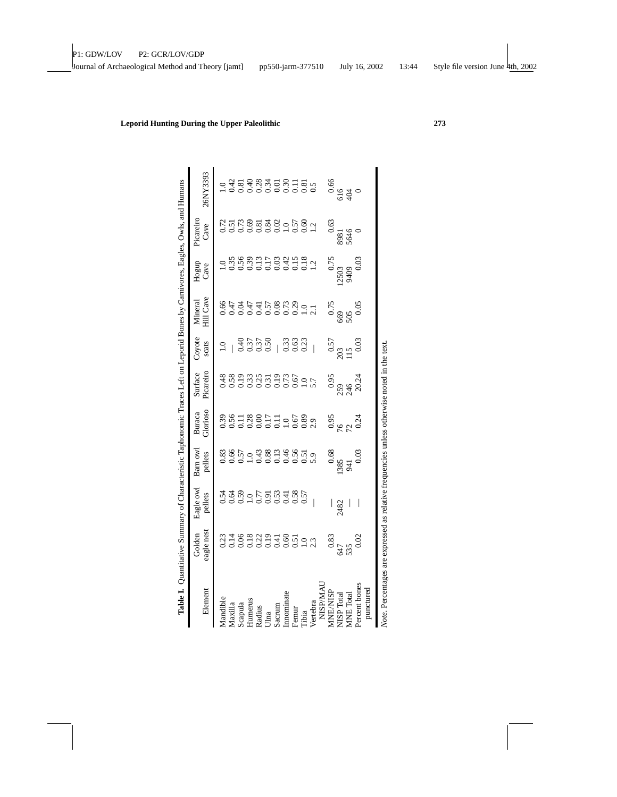|                                                                                            | Table I. Quantitative Summary of Characteristic Taphonomic Traces Left on Leporid Bones by Carnivores, Eagles, Owls, and Humans |                                    |                                                           |                                    |                                             |                                    |                          |                                                               |                   |                                                      |
|--------------------------------------------------------------------------------------------|---------------------------------------------------------------------------------------------------------------------------------|------------------------------------|-----------------------------------------------------------|------------------------------------|---------------------------------------------|------------------------------------|--------------------------|---------------------------------------------------------------|-------------------|------------------------------------------------------|
| Element                                                                                    | eagle nest<br>Golden                                                                                                            | Eagle owl<br>pellets               | Barn owl<br>pellets                                       | Glorioso<br>Buraca                 | Picareiro<br>Surface                        | Coyote<br>scats                    | Hill Cave<br>Mineral     | $\begin{array}{c}\n\text{Hopgup} \\ \text{Cave}\n\end{array}$ | Picareiro<br>Cave | 26NY3393                                             |
| Mandible                                                                                   |                                                                                                                                 |                                    |                                                           |                                    |                                             |                                    |                          |                                                               |                   |                                                      |
| Maxilla                                                                                    | 31883318593<br>0000000000                                                                                                       | 54<br>6659 075 0950<br>666 096 096 | 8865048874659<br>000103874659                             | 3<br>355380110589.<br>35000010089. | 48<br>0.53 33 35 36 56<br>0.0.0.0.0.0.0.0.7 |                                    | 8444558639<br>0000000001 | 0.358311583452<br>0.358311583452                              |                   | - 3 3 3 3 3 3 5 5 5 9 5<br>- 3 3 3 3 3 5 5 5 5 5 9 5 |
| Scapula                                                                                    |                                                                                                                                 |                                    |                                                           |                                    |                                             |                                    |                          |                                                               |                   |                                                      |
| Humerus                                                                                    |                                                                                                                                 |                                    |                                                           |                                    |                                             |                                    |                          |                                                               |                   |                                                      |
| Radius                                                                                     |                                                                                                                                 |                                    |                                                           |                                    |                                             |                                    |                          |                                                               |                   |                                                      |
| Ulna                                                                                       |                                                                                                                                 |                                    |                                                           |                                    |                                             |                                    |                          |                                                               |                   |                                                      |
| Sacrum                                                                                     |                                                                                                                                 |                                    |                                                           |                                    |                                             |                                    |                          |                                                               |                   |                                                      |
| Innominate                                                                                 |                                                                                                                                 |                                    |                                                           |                                    |                                             |                                    |                          |                                                               |                   |                                                      |
| Femur                                                                                      |                                                                                                                                 |                                    |                                                           |                                    |                                             |                                    |                          |                                                               |                   |                                                      |
| Tibia                                                                                      |                                                                                                                                 |                                    |                                                           |                                    |                                             |                                    |                          |                                                               |                   |                                                      |
| Vertebra                                                                                   |                                                                                                                                 |                                    |                                                           |                                    |                                             | $\overline{\phantom{a}}$           |                          |                                                               |                   |                                                      |
| <b>NISP/MA</b>                                                                             |                                                                                                                                 |                                    |                                                           |                                    |                                             |                                    |                          |                                                               |                   |                                                      |
| MNE/NISP                                                                                   |                                                                                                                                 |                                    |                                                           |                                    |                                             |                                    |                          |                                                               | 0.63              |                                                      |
| NISP Total                                                                                 |                                                                                                                                 | 2482                               |                                                           |                                    |                                             |                                    |                          |                                                               |                   |                                                      |
| MNE Total                                                                                  | $\begin{array}{c} 0.83 \\ 547 \\ 535 \end{array}$                                                                               |                                    | $\begin{array}{c} 0.68 \\ 385 \\ 941 \\ 0.03 \end{array}$ | $\frac{0.95}{72}$<br>0.24          | $0.95$<br>$20.24$<br>$20.24$                | $\frac{0.57}{115}$<br>115<br>10.03 | $\frac{0.75}{0.05}$      | $\frac{0.75}{2503}$                                           | 8981<br>5646<br>0 | $\frac{0.66}{116}$<br>404<br>0                       |
| Percent bones                                                                              |                                                                                                                                 |                                    |                                                           |                                    |                                             |                                    |                          | 0.03                                                          |                   |                                                      |
| punctured                                                                                  |                                                                                                                                 |                                    |                                                           |                                    |                                             |                                    |                          |                                                               |                   |                                                      |
| Note. Percentages are expressed as relative frequencies unless otherwise noted in the text |                                                                                                                                 |                                    |                                                           |                                    |                                             |                                    |                          |                                                               |                   |                                                      |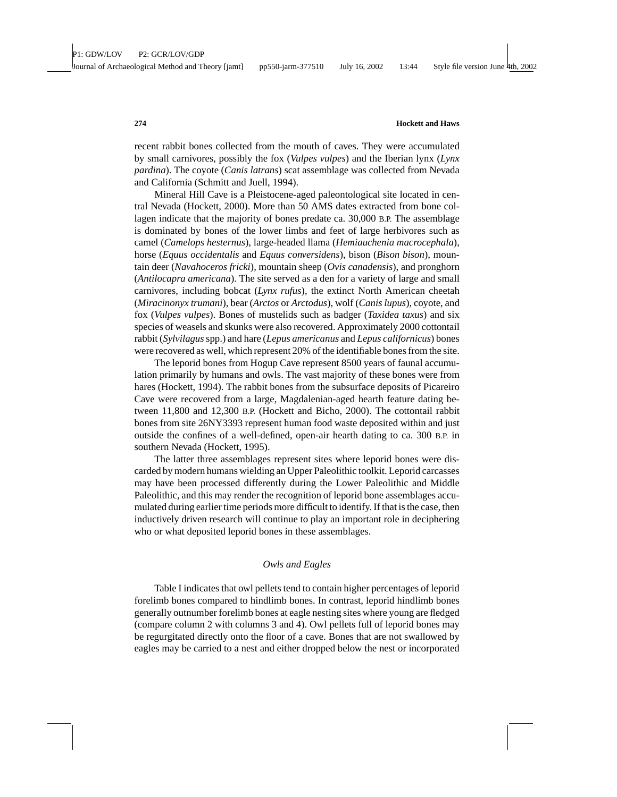**274 Hockett and Haws**

recent rabbit bones collected from the mouth of caves. They were accumulated by small carnivores, possibly the fox (*Vulpes vulpes*) and the Iberian lynx (*Lynx pardina*). The coyote (*Canis latrans*) scat assemblage was collected from Nevada and California (Schmitt and Juell, 1994).

Mineral Hill Cave is a Pleistocene-aged paleontological site located in central Nevada (Hockett, 2000). More than 50 AMS dates extracted from bone collagen indicate that the majority of bones predate ca. 30,000 B.P. The assemblage is dominated by bones of the lower limbs and feet of large herbivores such as camel (*Camelops hesternus*), large-headed llama (*Hemiauchenia macrocephala*), horse (*Equus occidentalis* and *Equus conversidens*), bison (*Bison bison*), mountain deer (*Navahoceros fricki*), mountain sheep (*Ovis canadensis*), and pronghorn (*Antilocapra americana*). The site served as a den for a variety of large and small carnivores, including bobcat (*Lynx rufus*), the extinct North American cheetah (*Miracinonyx trumani*), bear (*Arctos* or *Arctodus*), wolf (*Canis lupus*), coyote, and fox (*Vulpes vulpes*). Bones of mustelids such as badger (*Taxidea taxus*) and six species of weasels and skunks were also recovered. Approximately 2000 cottontail rabbit (*Sylvilagus*spp.) and hare (*Lepus americanus* and *Lepus californicus*) bones were recovered as well, which represent 20% of the identifiable bones from the site.

The leporid bones from Hogup Cave represent 8500 years of faunal accumulation primarily by humans and owls. The vast majority of these bones were from hares (Hockett, 1994). The rabbit bones from the subsurface deposits of Picareiro Cave were recovered from a large, Magdalenian-aged hearth feature dating between 11,800 and 12,300 B.P. (Hockett and Bicho, 2000). The cottontail rabbit bones from site 26NY3393 represent human food waste deposited within and just outside the confines of a well-defined, open-air hearth dating to ca. 300 B.P. in southern Nevada (Hockett, 1995).

The latter three assemblages represent sites where leporid bones were discarded by modern humans wielding an Upper Paleolithic toolkit. Leporid carcasses may have been processed differently during the Lower Paleolithic and Middle Paleolithic, and this may render the recognition of leporid bone assemblages accumulated during earlier time periods more difficult to identify. If that is the case, then inductively driven research will continue to play an important role in deciphering who or what deposited leporid bones in these assemblages.

## *Owls and Eagles*

Table I indicates that owl pellets tend to contain higher percentages of leporid forelimb bones compared to hindlimb bones. In contrast, leporid hindlimb bones generally outnumber forelimb bones at eagle nesting sites where young are fledged (compare column 2 with columns 3 and 4). Owl pellets full of leporid bones may be regurgitated directly onto the floor of a cave. Bones that are not swallowed by eagles may be carried to a nest and either dropped below the nest or incorporated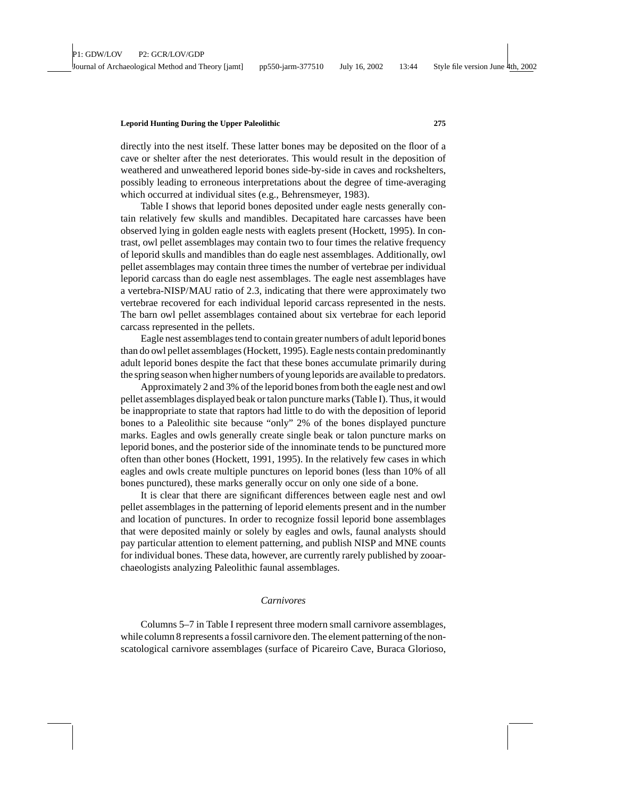directly into the nest itself. These latter bones may be deposited on the floor of a cave or shelter after the nest deteriorates. This would result in the deposition of weathered and unweathered leporid bones side-by-side in caves and rockshelters, possibly leading to erroneous interpretations about the degree of time-averaging which occurred at individual sites (e.g., Behrensmeyer, 1983).

Table I shows that leporid bones deposited under eagle nests generally contain relatively few skulls and mandibles. Decapitated hare carcasses have been observed lying in golden eagle nests with eaglets present (Hockett, 1995). In contrast, owl pellet assemblages may contain two to four times the relative frequency of leporid skulls and mandibles than do eagle nest assemblages. Additionally, owl pellet assemblages may contain three times the number of vertebrae per individual leporid carcass than do eagle nest assemblages. The eagle nest assemblages have a vertebra-NISP/MAU ratio of 2.3, indicating that there were approximately two vertebrae recovered for each individual leporid carcass represented in the nests. The barn owl pellet assemblages contained about six vertebrae for each leporid carcass represented in the pellets.

Eagle nest assemblages tend to contain greater numbers of adult leporid bones than do owl pellet assemblages (Hockett, 1995). Eagle nests contain predominantly adult leporid bones despite the fact that these bones accumulate primarily during the spring season when higher numbers of young leporids are available to predators.

Approximately 2 and 3% of the leporid bones from both the eagle nest and owl pellet assemblages displayed beak or talon puncture marks (Table I). Thus, it would be inappropriate to state that raptors had little to do with the deposition of leporid bones to a Paleolithic site because "only" 2% of the bones displayed puncture marks. Eagles and owls generally create single beak or talon puncture marks on leporid bones, and the posterior side of the innominate tends to be punctured more often than other bones (Hockett, 1991, 1995). In the relatively few cases in which eagles and owls create multiple punctures on leporid bones (less than 10% of all bones punctured), these marks generally occur on only one side of a bone.

It is clear that there are significant differences between eagle nest and owl pellet assemblages in the patterning of leporid elements present and in the number and location of punctures. In order to recognize fossil leporid bone assemblages that were deposited mainly or solely by eagles and owls, faunal analysts should pay particular attention to element patterning, and publish NISP and MNE counts for individual bones. These data, however, are currently rarely published by zooarchaeologists analyzing Paleolithic faunal assemblages.

## *Carnivores*

Columns 5–7 in Table I represent three modern small carnivore assemblages, while column 8 represents a fossil carnivore den. The element patterning of the nonscatological carnivore assemblages (surface of Picareiro Cave, Buraca Glorioso,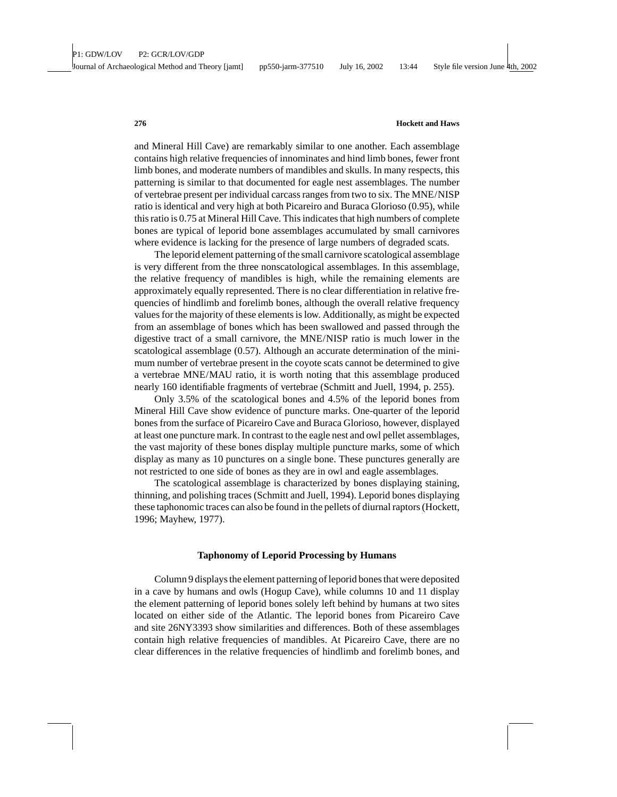and Mineral Hill Cave) are remarkably similar to one another. Each assemblage contains high relative frequencies of innominates and hind limb bones, fewer front limb bones, and moderate numbers of mandibles and skulls. In many respects, this patterning is similar to that documented for eagle nest assemblages. The number of vertebrae present per individual carcass ranges from two to six. The MNE/NISP ratio is identical and very high at both Picareiro and Buraca Glorioso (0.95), while this ratio is 0.75 at Mineral Hill Cave. This indicates that high numbers of complete bones are typical of leporid bone assemblages accumulated by small carnivores where evidence is lacking for the presence of large numbers of degraded scats.

The leporid element patterning of the small carnivore scatological assemblage is very different from the three nonscatological assemblages. In this assemblage, the relative frequency of mandibles is high, while the remaining elements are approximately equally represented. There is no clear differentiation in relative frequencies of hindlimb and forelimb bones, although the overall relative frequency values for the majority of these elements is low. Additionally, as might be expected from an assemblage of bones which has been swallowed and passed through the digestive tract of a small carnivore, the MNE/NISP ratio is much lower in the scatological assemblage (0.57). Although an accurate determination of the minimum number of vertebrae present in the coyote scats cannot be determined to give a vertebrae MNE/MAU ratio, it is worth noting that this assemblage produced nearly 160 identifiable fragments of vertebrae (Schmitt and Juell, 1994, p. 255).

Only 3.5% of the scatological bones and 4.5% of the leporid bones from Mineral Hill Cave show evidence of puncture marks. One-quarter of the leporid bones from the surface of Picareiro Cave and Buraca Glorioso, however, displayed at least one puncture mark. In contrast to the eagle nest and owl pellet assemblages, the vast majority of these bones display multiple puncture marks, some of which display as many as 10 punctures on a single bone. These punctures generally are not restricted to one side of bones as they are in owl and eagle assemblages.

The scatological assemblage is characterized by bones displaying staining, thinning, and polishing traces (Schmitt and Juell, 1994). Leporid bones displaying these taphonomic traces can also be found in the pellets of diurnal raptors (Hockett, 1996; Mayhew, 1977).

#### **Taphonomy of Leporid Processing by Humans**

Column 9 displays the element patterning of leporid bones that were deposited in a cave by humans and owls (Hogup Cave), while columns 10 and 11 display the element patterning of leporid bones solely left behind by humans at two sites located on either side of the Atlantic. The leporid bones from Picareiro Cave and site 26NY3393 show similarities and differences. Both of these assemblages contain high relative frequencies of mandibles. At Picareiro Cave, there are no clear differences in the relative frequencies of hindlimb and forelimb bones, and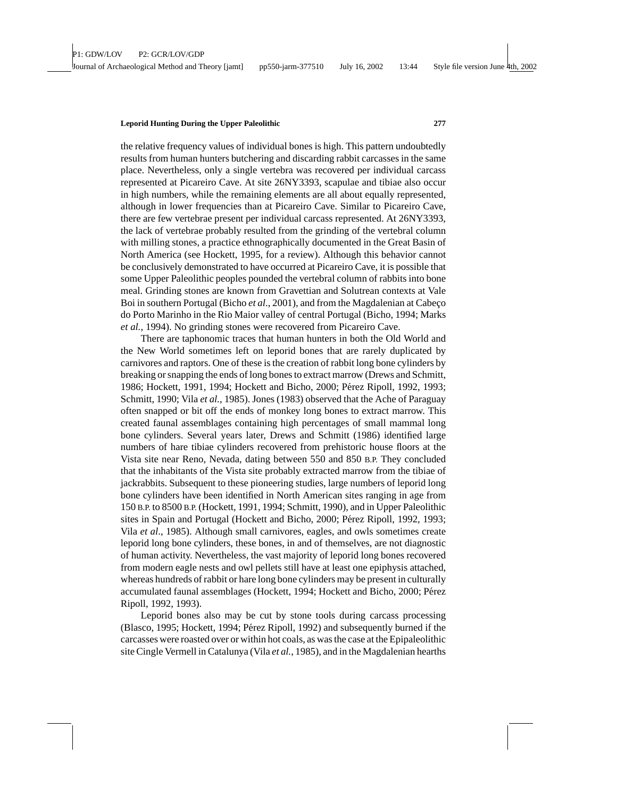the relative frequency values of individual bones is high. This pattern undoubtedly results from human hunters butchering and discarding rabbit carcasses in the same place. Nevertheless, only a single vertebra was recovered per individual carcass represented at Picareiro Cave. At site 26NY3393, scapulae and tibiae also occur in high numbers, while the remaining elements are all about equally represented, although in lower frequencies than at Picareiro Cave. Similar to Picareiro Cave, there are few vertebrae present per individual carcass represented. At 26NY3393, the lack of vertebrae probably resulted from the grinding of the vertebral column with milling stones, a practice ethnographically documented in the Great Basin of North America (see Hockett, 1995, for a review). Although this behavior cannot be conclusively demonstrated to have occurred at Picareiro Cave, it is possible that some Upper Paleolithic peoples pounded the vertebral column of rabbits into bone meal. Grinding stones are known from Gravettian and Solutrean contexts at Vale Boi in southern Portugal (Bicho *et al.*, 2001), and from the Magdalenian at Cabeço do Porto Marinho in the Rio Maior valley of central Portugal (Bicho, 1994; Marks *et al.*, 1994). No grinding stones were recovered from Picareiro Cave.

There are taphonomic traces that human hunters in both the Old World and the New World sometimes left on leporid bones that are rarely duplicated by carnivores and raptors. One of these is the creation of rabbit long bone cylinders by breaking or snapping the ends of long bones to extract marrow (Drews and Schmitt, 1986; Hockett, 1991, 1994; Hockett and Bicho, 2000; Pérez Ripoll, 1992, 1993; Schmitt, 1990; Vila *et al.*, 1985). Jones (1983) observed that the Ache of Paraguay often snapped or bit off the ends of monkey long bones to extract marrow. This created faunal assemblages containing high percentages of small mammal long bone cylinders. Several years later, Drews and Schmitt (1986) identified large numbers of hare tibiae cylinders recovered from prehistoric house floors at the Vista site near Reno, Nevada, dating between 550 and 850 B.P. They concluded that the inhabitants of the Vista site probably extracted marrow from the tibiae of jackrabbits. Subsequent to these pioneering studies, large numbers of leporid long bone cylinders have been identified in North American sites ranging in age from 150 B.P. to 8500 B.P. (Hockett, 1991, 1994; Schmitt, 1990), and in Upper Paleolithic sites in Spain and Portugal (Hockett and Bicho, 2000; Pérez Ripoll, 1992, 1993; Vila *et al*., 1985). Although small carnivores, eagles, and owls sometimes create leporid long bone cylinders, these bones, in and of themselves, are not diagnostic of human activity. Nevertheless, the vast majority of leporid long bones recovered from modern eagle nests and owl pellets still have at least one epiphysis attached, whereas hundreds of rabbit or hare long bone cylinders may be present in culturally accumulated faunal assemblages (Hockett, 1994; Hockett and Bicho, 2000; Pérez Ripoll, 1992, 1993).

Leporid bones also may be cut by stone tools during carcass processing (Blasco, 1995; Hockett, 1994; Pérez Ripoll, 1992) and subsequently burned if the carcasses were roasted over or within hot coals, as was the case at the Epipaleolithic site Cingle Vermell in Catalunya (Vila *et al.*, 1985), and in the Magdalenian hearths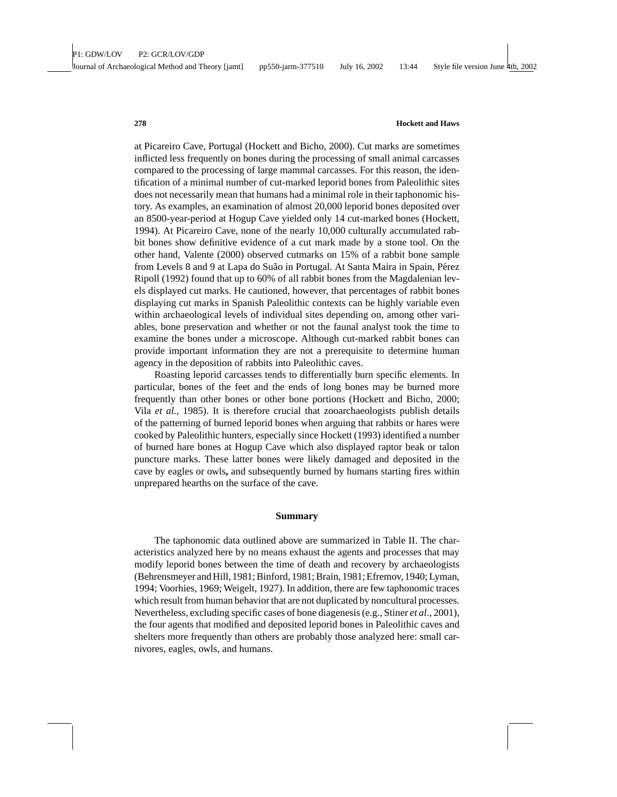at Picareiro Cave, Portugal (Hockett and Bicho, 2000). Cut marks are sometimes inflicted less frequently on bones during the processing of small animal carcasses compared to the processing of large mammal carcasses. For this reason, the identification of a minimal number of cut-marked leporid bones from Paleolithic sites does not necessarily mean that humans had a minimal role in their taphonomic history. As examples, an examination of almost 20,000 leporid bones deposited over an 8500-year-period at Hogup Cave yielded only 14 cut-marked bones (Hockett, 1994). At Picareiro Cave, none of the nearly 10,000 culturally accumulated rabbit bones show definitive evidence of a cut mark made by a stone tool. On the other hand, Valente (2000) observed cutmarks on 15% of a rabbit bone sample from Levels 8 and 9 at Lapa do Suão in Portugal. At Santa Maira in Spain, Pérez Ripoll (1992) found that up to 60% of all rabbit bones from the Magdalenian levels displayed cut marks. He cautioned, however, that percentages of rabbit bones displaying cut marks in Spanish Paleolithic contexts can be highly variable even within archaeological levels of individual sites depending on, among other variables, bone preservation and whether or not the faunal analyst took the time to examine the bones under a microscope. Although cut-marked rabbit bones can provide important information they are not a prerequisite to determine human agency in the deposition of rabbits into Paleolithic caves.

Roasting leporid carcasses tends to differentially burn specific elements. In particular, bones of the feet and the ends of long bones may be burned more frequently than other bones or other bone portions (Hockett and Bicho, 2000; Vila *et al.*, 1985). It is therefore crucial that zooarchaeologists publish details of the patterning of burned leporid bones when arguing that rabbits or hares were cooked by Paleolithic hunters, especially since Hockett (1993) identified a number of burned hare bones at Hogup Cave which also displayed raptor beak or talon puncture marks. These latter bones were likely damaged and deposited in the cave by eagles or owls**,** and subsequently burned by humans starting fires within unprepared hearths on the surface of the cave.

#### **Summary**

The taphonomic data outlined above are summarized in Table II. The characteristics analyzed here by no means exhaust the agents and processes that may modify leporid bones between the time of death and recovery by archaeologists (Behrensmeyer and Hill, 1981; Binford, 1981; Brain, 1981; Efremov, 1940; Lyman, 1994; Voorhies, 1969; Weigelt, 1927). In addition, there are few taphonomic traces which result from human behavior that are not duplicated by noncultural processes. Nevertheless, excluding specific cases of bone diagenesis (e.g., Stiner *et al*., 2001), the four agents that modified and deposited leporid bones in Paleolithic caves and shelters more frequently than others are probably those analyzed here: small carnivores, eagles, owls, and humans.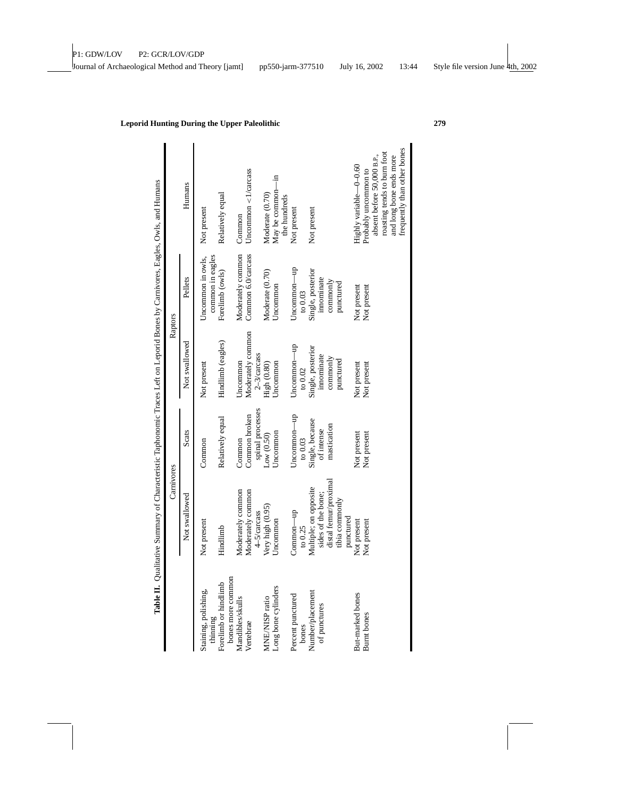|                                           | Table II. Qualitative Summary of Characteristic Taphonomic Traces Left on Leporid Bones by Carnivores, Eagles, Owls, and Humans |                               |                                 |                                         |                                                                                      |
|-------------------------------------------|---------------------------------------------------------------------------------------------------------------------------------|-------------------------------|---------------------------------|-----------------------------------------|--------------------------------------------------------------------------------------|
|                                           | Carnivores                                                                                                                      |                               |                                 | Raptors                                 |                                                                                      |
|                                           | Not swallowed                                                                                                                   | <b>Scats</b>                  | Not swallowed                   | Pellets                                 | Humans                                                                               |
| Staining, polishing,<br>thinning          | Not present                                                                                                                     | Common                        | Not present                     | common in eagles<br>Uncommon in owls,   | Not present                                                                          |
| bones more common<br>Forelimb or hindlimb | Hindlimb                                                                                                                        | Relatively equal              | Hindlimb (eagles)               | Forelimb (owls)                         | Relatively equal                                                                     |
| Mandibles/skulls<br>Vertebrae             | Moderately common<br>Moderately common                                                                                          | Common broken<br>Common       | Moderately common<br>Uncommon   | Moderately common<br>Common 6.0/carcass | Uncommon $\lt 1$ /carcass<br>Common                                                  |
|                                           | $4 - 5/c$ arcass                                                                                                                | spinal processes              | $2 - 3/carcass$                 |                                         |                                                                                      |
| Long bone cylinders<br>MNE/NISP ratio     | Very high (0.95)<br>Uncommon                                                                                                    | Uncommon<br>Low $(0.50)$      | <b>Uncommon</b><br>High (0.80)  | Moderate (0.70)<br>Uncommon             | May be common-in<br>Moderate (0.70)<br>the hundreds                                  |
| Percent punctured<br>bones                | Common-up<br>to $0.25$                                                                                                          | Uncommon-up<br>to $0.03$      | Uncommon-up<br>to $0.02$        | $U$ ncommon $-\text{up}$<br>to 0.03     | Not present                                                                          |
| Number/placement<br>of punctures          | Multiple; on opposite<br>sides of the bone;                                                                                     | Single, because<br>of intense | Single, posterior<br>innominate | Single, posterior<br>innominate         | Not present                                                                          |
|                                           | distal femur/proximal<br>tibia commonly<br>punctured                                                                            | mastication                   | commonly<br>punctured           | commonly<br>punctured                   |                                                                                      |
| But-marked bones<br><b>Burnt</b> bones    | Not present<br>Not present                                                                                                      | Not present<br>Not present    | Not present<br>Not present      | Not present<br>Not present              | Highly variable-0-0.60<br>Probably uncommon to                                       |
|                                           |                                                                                                                                 |                               |                                 |                                         | roasting tends to burn foot<br>absent before 50,000 B.P.,<br>and long bone ends more |
|                                           |                                                                                                                                 |                               |                                 |                                         | frequently than other bones                                                          |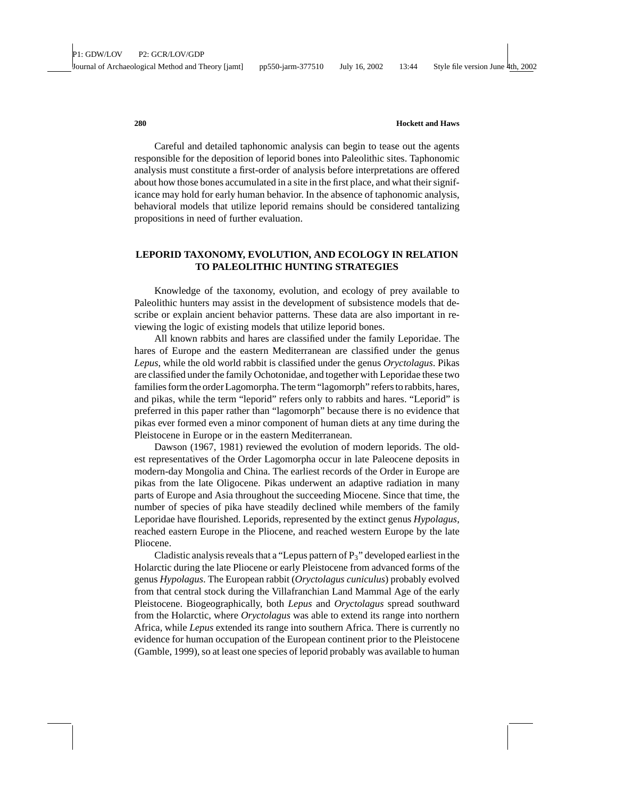Careful and detailed taphonomic analysis can begin to tease out the agents responsible for the deposition of leporid bones into Paleolithic sites. Taphonomic analysis must constitute a first-order of analysis before interpretations are offered about how those bones accumulated in a site in the first place, and what their significance may hold for early human behavior. In the absence of taphonomic analysis, behavioral models that utilize leporid remains should be considered tantalizing propositions in need of further evaluation.

## **LEPORID TAXONOMY, EVOLUTION, AND ECOLOGY IN RELATION TO PALEOLITHIC HUNTING STRATEGIES**

Knowledge of the taxonomy, evolution, and ecology of prey available to Paleolithic hunters may assist in the development of subsistence models that describe or explain ancient behavior patterns. These data are also important in reviewing the logic of existing models that utilize leporid bones.

All known rabbits and hares are classified under the family Leporidae. The hares of Europe and the eastern Mediterranean are classified under the genus *Lepus*, while the old world rabbit is classified under the genus *Oryctolagus*. Pikas are classified under the family Ochotonidae, and together with Leporidae these two families form the order Lagomorpha. The term "lagomorph" refers to rabbits, hares, and pikas, while the term "leporid" refers only to rabbits and hares. "Leporid" is preferred in this paper rather than "lagomorph" because there is no evidence that pikas ever formed even a minor component of human diets at any time during the Pleistocene in Europe or in the eastern Mediterranean.

Dawson (1967, 1981) reviewed the evolution of modern leporids. The oldest representatives of the Order Lagomorpha occur in late Paleocene deposits in modern-day Mongolia and China. The earliest records of the Order in Europe are pikas from the late Oligocene. Pikas underwent an adaptive radiation in many parts of Europe and Asia throughout the succeeding Miocene. Since that time, the number of species of pika have steadily declined while members of the family Leporidae have flourished. Leporids, represented by the extinct genus *Hypolagus*, reached eastern Europe in the Pliocene, and reached western Europe by the late Pliocene.

Cladistic analysis reveals that a "Lepus pattern of  $P_3$ " developed earliest in the Holarctic during the late Pliocene or early Pleistocene from advanced forms of the genus *Hypolagus*. The European rabbit (*Oryctolagus cuniculus*) probably evolved from that central stock during the Villafranchian Land Mammal Age of the early Pleistocene. Biogeographically, both *Lepus* and *Oryctolagus* spread southward from the Holarctic, where *Oryctolagus* was able to extend its range into northern Africa, while *Lepus* extended its range into southern Africa. There is currently no evidence for human occupation of the European continent prior to the Pleistocene (Gamble, 1999), so at least one species of leporid probably was available to human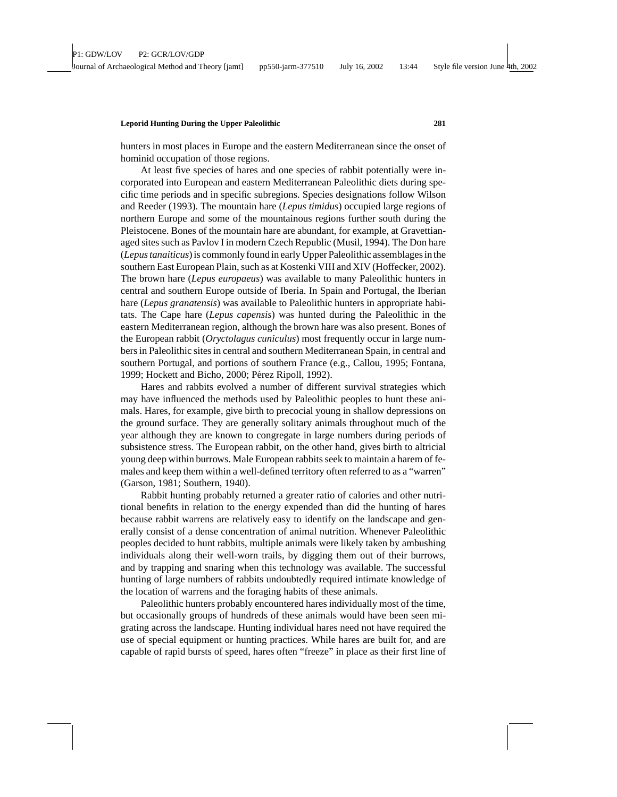hunters in most places in Europe and the eastern Mediterranean since the onset of hominid occupation of those regions.

At least five species of hares and one species of rabbit potentially were incorporated into European and eastern Mediterranean Paleolithic diets during specific time periods and in specific subregions. Species designations follow Wilson and Reeder (1993). The mountain hare (*Lepus timidus*) occupied large regions of northern Europe and some of the mountainous regions further south during the Pleistocene. Bones of the mountain hare are abundant, for example, at Gravettianaged sites such as Pavlov I in modern Czech Republic (Musil, 1994). The Don hare (*Lepus tanaiticus*) is commonly found in early Upper Paleolithic assemblages in the southern East European Plain, such as at Kostenki VIII and XIV (Hoffecker, 2002). The brown hare (*Lepus europaeus*) was available to many Paleolithic hunters in central and southern Europe outside of Iberia. In Spain and Portugal, the Iberian hare (*Lepus granatensis*) was available to Paleolithic hunters in appropriate habitats. The Cape hare (*Lepus capensis*) was hunted during the Paleolithic in the eastern Mediterranean region, although the brown hare was also present. Bones of the European rabbit (*Oryctolagus cuniculus*) most frequently occur in large numbers in Paleolithic sites in central and southern Mediterranean Spain, in central and southern Portugal, and portions of southern France (e.g., Callou, 1995; Fontana, 1999; Hockett and Bicho, 2000; Pérez Ripoll, 1992).

Hares and rabbits evolved a number of different survival strategies which may have influenced the methods used by Paleolithic peoples to hunt these animals. Hares, for example, give birth to precocial young in shallow depressions on the ground surface. They are generally solitary animals throughout much of the year although they are known to congregate in large numbers during periods of subsistence stress. The European rabbit, on the other hand, gives birth to altricial young deep within burrows. Male European rabbits seek to maintain a harem of females and keep them within a well-defined territory often referred to as a "warren" (Garson, 1981; Southern, 1940).

Rabbit hunting probably returned a greater ratio of calories and other nutritional benefits in relation to the energy expended than did the hunting of hares because rabbit warrens are relatively easy to identify on the landscape and generally consist of a dense concentration of animal nutrition. Whenever Paleolithic peoples decided to hunt rabbits, multiple animals were likely taken by ambushing individuals along their well-worn trails, by digging them out of their burrows, and by trapping and snaring when this technology was available. The successful hunting of large numbers of rabbits undoubtedly required intimate knowledge of the location of warrens and the foraging habits of these animals.

Paleolithic hunters probably encountered hares individually most of the time, but occasionally groups of hundreds of these animals would have been seen migrating across the landscape. Hunting individual hares need not have required the use of special equipment or hunting practices. While hares are built for, and are capable of rapid bursts of speed, hares often "freeze" in place as their first line of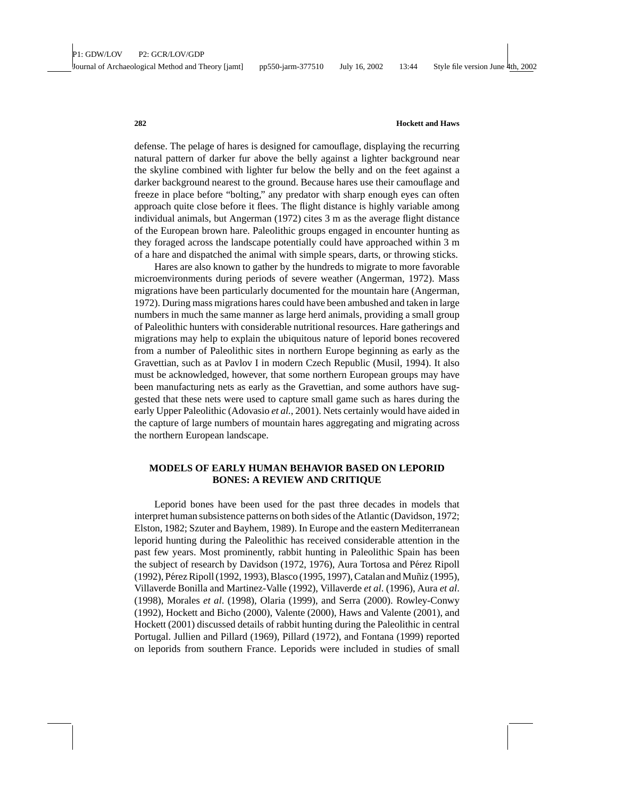defense. The pelage of hares is designed for camouflage, displaying the recurring natural pattern of darker fur above the belly against a lighter background near the skyline combined with lighter fur below the belly and on the feet against a darker background nearest to the ground. Because hares use their camouflage and freeze in place before "bolting," any predator with sharp enough eyes can often approach quite close before it flees. The flight distance is highly variable among individual animals, but Angerman (1972) cites 3 m as the average flight distance of the European brown hare. Paleolithic groups engaged in encounter hunting as they foraged across the landscape potentially could have approached within 3 m of a hare and dispatched the animal with simple spears, darts, or throwing sticks.

Hares are also known to gather by the hundreds to migrate to more favorable microenvironments during periods of severe weather (Angerman, 1972). Mass migrations have been particularly documented for the mountain hare (Angerman, 1972). During mass migrations hares could have been ambushed and taken in large numbers in much the same manner as large herd animals, providing a small group of Paleolithic hunters with considerable nutritional resources. Hare gatherings and migrations may help to explain the ubiquitous nature of leporid bones recovered from a number of Paleolithic sites in northern Europe beginning as early as the Gravettian, such as at Pavlov I in modern Czech Republic (Musil, 1994). It also must be acknowledged, however, that some northern European groups may have been manufacturing nets as early as the Gravettian, and some authors have suggested that these nets were used to capture small game such as hares during the early Upper Paleolithic (Adovasio *et al.*, 2001). Nets certainly would have aided in the capture of large numbers of mountain hares aggregating and migrating across the northern European landscape.

## **MODELS OF EARLY HUMAN BEHAVIOR BASED ON LEPORID BONES: A REVIEW AND CRITIQUE**

Leporid bones have been used for the past three decades in models that interpret human subsistence patterns on both sides of the Atlantic (Davidson, 1972; Elston, 1982; Szuter and Bayhem, 1989). In Europe and the eastern Mediterranean leporid hunting during the Paleolithic has received considerable attention in the past few years. Most prominently, rabbit hunting in Paleolithic Spain has been the subject of research by Davidson (1972, 1976), Aura Tortosa and Pérez Ripoll (1992), Pérez Ripoll (1992, 1993), Blasco (1995, 1997), Catalan and Muñiz (1995), Villaverde Bonilla and Martinez-Valle (1992), Villaverde *et al*. (1996), Aura *et al*. (1998), Morales *et al*. (1998), Olaria (1999), and Serra (2000). Rowley-Conwy (1992), Hockett and Bicho (2000), Valente (2000), Haws and Valente (2001), and Hockett (2001) discussed details of rabbit hunting during the Paleolithic in central Portugal. Jullien and Pillard (1969), Pillard (1972), and Fontana (1999) reported on leporids from southern France. Leporids were included in studies of small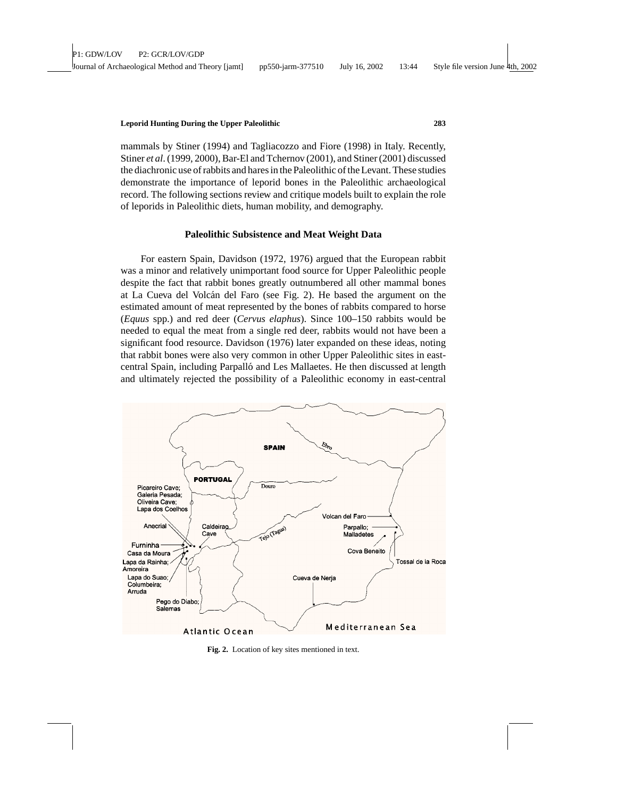mammals by Stiner (1994) and Tagliacozzo and Fiore (1998) in Italy. Recently, Stiner *et al*. (1999, 2000), Bar-El and Tchernov (2001), and Stiner (2001) discussed the diachronic use of rabbits and hares in the Paleolithic of the Levant. These studies demonstrate the importance of leporid bones in the Paleolithic archaeological record. The following sections review and critique models built to explain the role of leporids in Paleolithic diets, human mobility, and demography.

## **Paleolithic Subsistence and Meat Weight Data**

For eastern Spain, Davidson (1972, 1976) argued that the European rabbit was a minor and relatively unimportant food source for Upper Paleolithic people despite the fact that rabbit bones greatly outnumbered all other mammal bones at La Cueva del Volcán del Faro (see Fig. 2). He based the argument on the estimated amount of meat represented by the bones of rabbits compared to horse (*Equus* spp.) and red deer (*Cervus elaphus*). Since 100–150 rabbits would be needed to equal the meat from a single red deer, rabbits would not have been a significant food resource. Davidson (1976) later expanded on these ideas, noting that rabbit bones were also very common in other Upper Paleolithic sites in eastcentral Spain, including Parpalló and Les Mallaetes. He then discussed at length and ultimately rejected the possibility of a Paleolithic economy in east-central



**Fig. 2.** Location of key sites mentioned in text.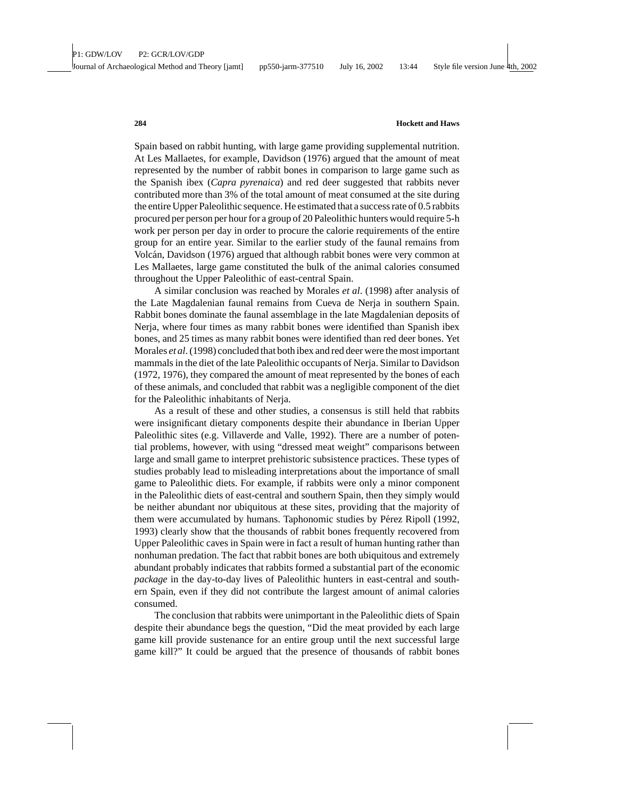Spain based on rabbit hunting, with large game providing supplemental nutrition. At Les Mallaetes, for example, Davidson (1976) argued that the amount of meat represented by the number of rabbit bones in comparison to large game such as the Spanish ibex (*Capra pyrenaica*) and red deer suggested that rabbits never contributed more than 3% of the total amount of meat consumed at the site during the entire Upper Paleolithic sequence. He estimated that a success rate of 0.5 rabbits procured per person per hour for a group of 20 Paleolithic hunters would require 5-h work per person per day in order to procure the calorie requirements of the entire group for an entire year. Similar to the earlier study of the faunal remains from Volcán, Davidson (1976) argued that although rabbit bones were very common at Les Mallaetes, large game constituted the bulk of the animal calories consumed throughout the Upper Paleolithic of east-central Spain.

A similar conclusion was reached by Morales *et al*. (1998) after analysis of the Late Magdalenian faunal remains from Cueva de Nerja in southern Spain. Rabbit bones dominate the faunal assemblage in the late Magdalenian deposits of Nerja, where four times as many rabbit bones were identified than Spanish ibex bones, and 25 times as many rabbit bones were identified than red deer bones. Yet Morales *et al*. (1998) concluded that both ibex and red deer were the most important mammals in the diet of the late Paleolithic occupants of Nerja. Similar to Davidson (1972, 1976), they compared the amount of meat represented by the bones of each of these animals, and concluded that rabbit was a negligible component of the diet for the Paleolithic inhabitants of Nerja.

As a result of these and other studies, a consensus is still held that rabbits were insignificant dietary components despite their abundance in Iberian Upper Paleolithic sites (e.g. Villaverde and Valle, 1992). There are a number of potential problems, however, with using "dressed meat weight" comparisons between large and small game to interpret prehistoric subsistence practices. These types of studies probably lead to misleading interpretations about the importance of small game to Paleolithic diets. For example, if rabbits were only a minor component in the Paleolithic diets of east-central and southern Spain, then they simply would be neither abundant nor ubiquitous at these sites, providing that the majority of them were accumulated by humans. Taphonomic studies by Pérez Ripoll (1992, 1993) clearly show that the thousands of rabbit bones frequently recovered from Upper Paleolithic caves in Spain were in fact a result of human hunting rather than nonhuman predation. The fact that rabbit bones are both ubiquitous and extremely abundant probably indicates that rabbits formed a substantial part of the economic *package* in the day-to-day lives of Paleolithic hunters in east-central and southern Spain, even if they did not contribute the largest amount of animal calories consumed.

The conclusion that rabbits were unimportant in the Paleolithic diets of Spain despite their abundance begs the question, "Did the meat provided by each large game kill provide sustenance for an entire group until the next successful large game kill?" It could be argued that the presence of thousands of rabbit bones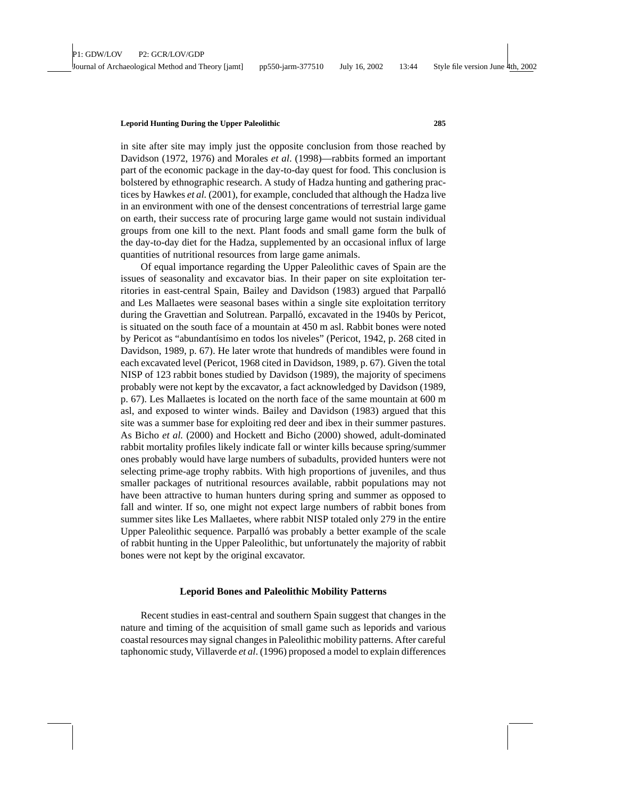in site after site may imply just the opposite conclusion from those reached by Davidson (1972, 1976) and Morales *et al*. (1998)—rabbits formed an important part of the economic package in the day-to-day quest for food. This conclusion is bolstered by ethnographic research. A study of Hadza hunting and gathering practices by Hawkes *et al.* (2001), for example, concluded that although the Hadza live in an environment with one of the densest concentrations of terrestrial large game on earth, their success rate of procuring large game would not sustain individual groups from one kill to the next. Plant foods and small game form the bulk of the day-to-day diet for the Hadza, supplemented by an occasional influx of large quantities of nutritional resources from large game animals.

Of equal importance regarding the Upper Paleolithic caves of Spain are the issues of seasonality and excavator bias. In their paper on site exploitation territories in east-central Spain, Bailey and Davidson (1983) argued that Parpalló and Les Mallaetes were seasonal bases within a single site exploitation territory during the Gravettian and Solutrean. Parpalló, excavated in the 1940s by Pericot, is situated on the south face of a mountain at 450 m asl. Rabbit bones were noted by Pericot as "abundantísimo en todos los niveles" (Pericot, 1942, p. 268 cited in Davidson, 1989, p. 67). He later wrote that hundreds of mandibles were found in each excavated level (Pericot, 1968 cited in Davidson, 1989, p. 67). Given the total NISP of 123 rabbit bones studied by Davidson (1989), the majority of specimens probably were not kept by the excavator, a fact acknowledged by Davidson (1989, p. 67). Les Mallaetes is located on the north face of the same mountain at 600 m asl, and exposed to winter winds. Bailey and Davidson (1983) argued that this site was a summer base for exploiting red deer and ibex in their summer pastures. As Bicho *et al.* (2000) and Hockett and Bicho (2000) showed, adult-dominated rabbit mortality profiles likely indicate fall or winter kills because spring/summer ones probably would have large numbers of subadults, provided hunters were not selecting prime-age trophy rabbits. With high proportions of juveniles, and thus smaller packages of nutritional resources available, rabbit populations may not have been attractive to human hunters during spring and summer as opposed to fall and winter. If so, one might not expect large numbers of rabbit bones from summer sites like Les Mallaetes, where rabbit NISP totaled only 279 in the entire Upper Paleolithic sequence. Parpalló was probably a better example of the scale of rabbit hunting in the Upper Paleolithic, but unfortunately the majority of rabbit bones were not kept by the original excavator.

#### **Leporid Bones and Paleolithic Mobility Patterns**

Recent studies in east-central and southern Spain suggest that changes in the nature and timing of the acquisition of small game such as leporids and various coastal resources may signal changes in Paleolithic mobility patterns. After careful taphonomic study, Villaverde *et al*. (1996) proposed a model to explain differences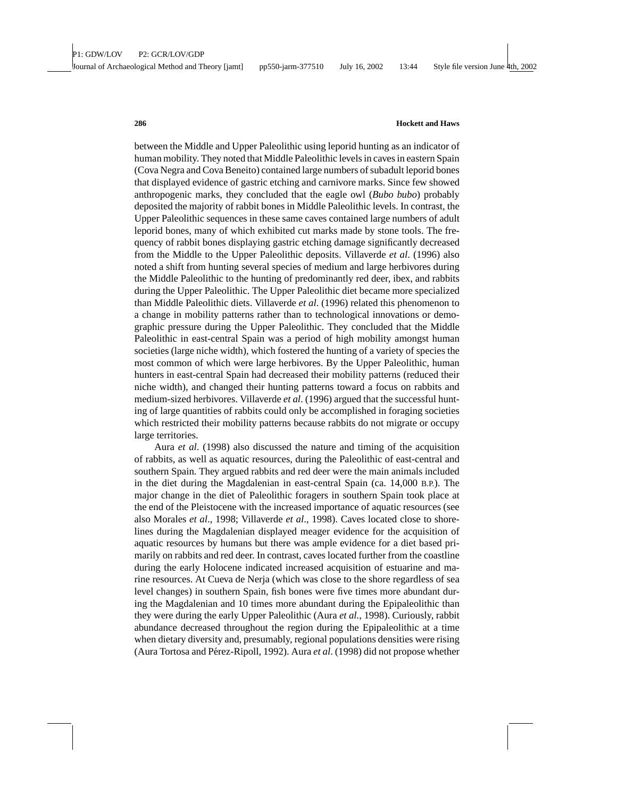between the Middle and Upper Paleolithic using leporid hunting as an indicator of human mobility. They noted that Middle Paleolithic levels in caves in eastern Spain (Cova Negra and Cova Beneito) contained large numbers of subadult leporid bones that displayed evidence of gastric etching and carnivore marks. Since few showed anthropogenic marks, they concluded that the eagle owl (*Bubo bubo*) probably deposited the majority of rabbit bones in Middle Paleolithic levels. In contrast, the Upper Paleolithic sequences in these same caves contained large numbers of adult leporid bones, many of which exhibited cut marks made by stone tools. The frequency of rabbit bones displaying gastric etching damage significantly decreased from the Middle to the Upper Paleolithic deposits. Villaverde *et al*. (1996) also noted a shift from hunting several species of medium and large herbivores during the Middle Paleolithic to the hunting of predominantly red deer, ibex, and rabbits during the Upper Paleolithic. The Upper Paleolithic diet became more specialized than Middle Paleolithic diets. Villaverde *et al*. (1996) related this phenomenon to a change in mobility patterns rather than to technological innovations or demographic pressure during the Upper Paleolithic. They concluded that the Middle Paleolithic in east-central Spain was a period of high mobility amongst human societies (large niche width), which fostered the hunting of a variety of species the most common of which were large herbivores. By the Upper Paleolithic, human hunters in east-central Spain had decreased their mobility patterns (reduced their niche width), and changed their hunting patterns toward a focus on rabbits and medium-sized herbivores. Villaverde *et al*. (1996) argued that the successful hunting of large quantities of rabbits could only be accomplished in foraging societies which restricted their mobility patterns because rabbits do not migrate or occupy large territories.

Aura *et al*. (1998) also discussed the nature and timing of the acquisition of rabbits, as well as aquatic resources, during the Paleolithic of east-central and southern Spain. They argued rabbits and red deer were the main animals included in the diet during the Magdalenian in east-central Spain (ca. 14,000 B.P.). The major change in the diet of Paleolithic foragers in southern Spain took place at the end of the Pleistocene with the increased importance of aquatic resources (see also Morales *et al*., 1998; Villaverde *et al*., 1998). Caves located close to shorelines during the Magdalenian displayed meager evidence for the acquisition of aquatic resources by humans but there was ample evidence for a diet based primarily on rabbits and red deer. In contrast, caves located further from the coastline during the early Holocene indicated increased acquisition of estuarine and marine resources. At Cueva de Nerja (which was close to the shore regardless of sea level changes) in southern Spain, fish bones were five times more abundant during the Magdalenian and 10 times more abundant during the Epipaleolithic than they were during the early Upper Paleolithic (Aura *et al.*, 1998). Curiously, rabbit abundance decreased throughout the region during the Epipaleolithic at a time when dietary diversity and, presumably, regional populations densities were rising (Aura Tortosa and Pérez-Ripoll, 1992). Aura *et al.* (1998) did not propose whether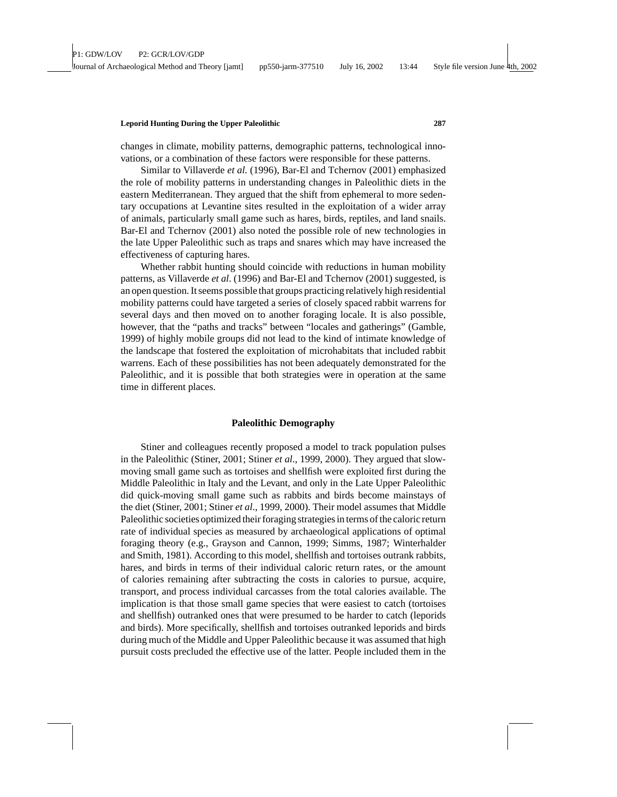changes in climate, mobility patterns, demographic patterns, technological innovations, or a combination of these factors were responsible for these patterns.

Similar to Villaverde *et al.* (1996), Bar-El and Tchernov (2001) emphasized the role of mobility patterns in understanding changes in Paleolithic diets in the eastern Mediterranean. They argued that the shift from ephemeral to more sedentary occupations at Levantine sites resulted in the exploitation of a wider array of animals, particularly small game such as hares, birds, reptiles, and land snails. Bar-El and Tchernov (2001) also noted the possible role of new technologies in the late Upper Paleolithic such as traps and snares which may have increased the effectiveness of capturing hares.

Whether rabbit hunting should coincide with reductions in human mobility patterns, as Villaverde *et al*. (1996) and Bar-El and Tchernov (2001) suggested, is an open question. It seems possible that groups practicing relatively high residential mobility patterns could have targeted a series of closely spaced rabbit warrens for several days and then moved on to another foraging locale. It is also possible, however, that the "paths and tracks" between "locales and gatherings" (Gamble, 1999) of highly mobile groups did not lead to the kind of intimate knowledge of the landscape that fostered the exploitation of microhabitats that included rabbit warrens. Each of these possibilities has not been adequately demonstrated for the Paleolithic, and it is possible that both strategies were in operation at the same time in different places.

#### **Paleolithic Demography**

Stiner and colleagues recently proposed a model to track population pulses in the Paleolithic (Stiner, 2001; Stiner *et al*., 1999, 2000). They argued that slowmoving small game such as tortoises and shellfish were exploited first during the Middle Paleolithic in Italy and the Levant, and only in the Late Upper Paleolithic did quick-moving small game such as rabbits and birds become mainstays of the diet (Stiner, 2001; Stiner *et al*., 1999, 2000). Their model assumes that Middle Paleolithic societies optimized their foraging strategies in terms of the caloric return rate of individual species as measured by archaeological applications of optimal foraging theory (e.g., Grayson and Cannon, 1999; Simms, 1987; Winterhalder and Smith, 1981). According to this model, shellfish and tortoises outrank rabbits, hares, and birds in terms of their individual caloric return rates, or the amount of calories remaining after subtracting the costs in calories to pursue, acquire, transport, and process individual carcasses from the total calories available. The implication is that those small game species that were easiest to catch (tortoises and shellfish) outranked ones that were presumed to be harder to catch (leporids and birds). More specifically, shellfish and tortoises outranked leporids and birds during much of the Middle and Upper Paleolithic because it was assumed that high pursuit costs precluded the effective use of the latter. People included them in the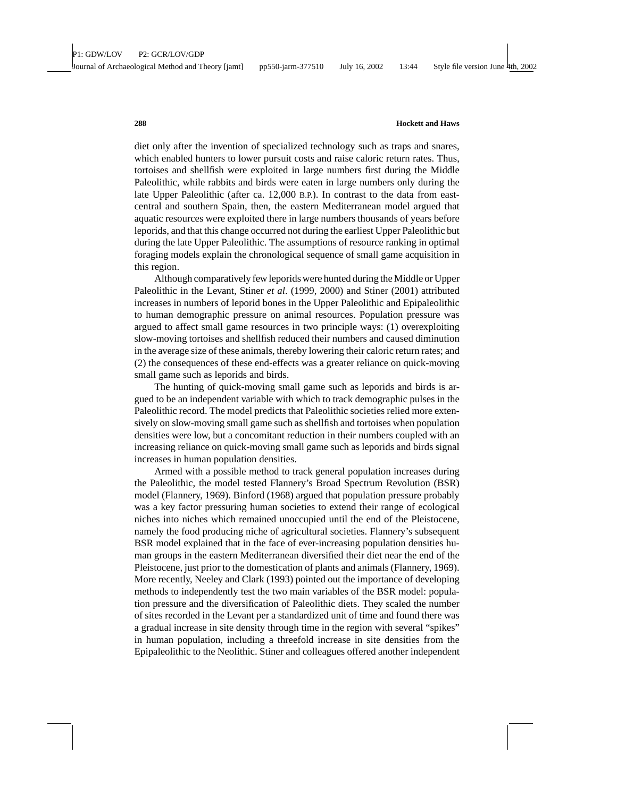diet only after the invention of specialized technology such as traps and snares, which enabled hunters to lower pursuit costs and raise caloric return rates. Thus, tortoises and shellfish were exploited in large numbers first during the Middle Paleolithic, while rabbits and birds were eaten in large numbers only during the late Upper Paleolithic (after ca. 12,000 B.P.). In contrast to the data from eastcentral and southern Spain, then, the eastern Mediterranean model argued that aquatic resources were exploited there in large numbers thousands of years before leporids, and that this change occurred not during the earliest Upper Paleolithic but during the late Upper Paleolithic. The assumptions of resource ranking in optimal foraging models explain the chronological sequence of small game acquisition in this region.

Although comparatively few leporids were hunted during the Middle or Upper Paleolithic in the Levant, Stiner *et al*. (1999, 2000) and Stiner (2001) attributed increases in numbers of leporid bones in the Upper Paleolithic and Epipaleolithic to human demographic pressure on animal resources. Population pressure was argued to affect small game resources in two principle ways: (1) overexploiting slow-moving tortoises and shellfish reduced their numbers and caused diminution in the average size of these animals, thereby lowering their caloric return rates; and (2) the consequences of these end-effects was a greater reliance on quick-moving small game such as leporids and birds.

The hunting of quick-moving small game such as leporids and birds is argued to be an independent variable with which to track demographic pulses in the Paleolithic record. The model predicts that Paleolithic societies relied more extensively on slow-moving small game such as shellfish and tortoises when population densities were low, but a concomitant reduction in their numbers coupled with an increasing reliance on quick-moving small game such as leporids and birds signal increases in human population densities.

Armed with a possible method to track general population increases during the Paleolithic, the model tested Flannery's Broad Spectrum Revolution (BSR) model (Flannery, 1969). Binford (1968) argued that population pressure probably was a key factor pressuring human societies to extend their range of ecological niches into niches which remained unoccupied until the end of the Pleistocene, namely the food producing niche of agricultural societies. Flannery's subsequent BSR model explained that in the face of ever-increasing population densities human groups in the eastern Mediterranean diversified their diet near the end of the Pleistocene, just prior to the domestication of plants and animals (Flannery, 1969). More recently, Neeley and Clark (1993) pointed out the importance of developing methods to independently test the two main variables of the BSR model: population pressure and the diversification of Paleolithic diets. They scaled the number of sites recorded in the Levant per a standardized unit of time and found there was a gradual increase in site density through time in the region with several "spikes" in human population, including a threefold increase in site densities from the Epipaleolithic to the Neolithic. Stiner and colleagues offered another independent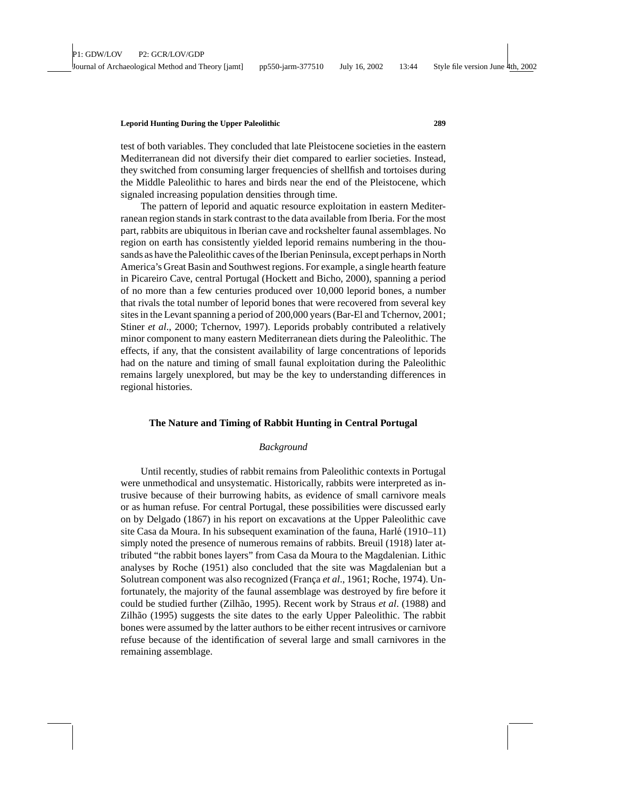test of both variables. They concluded that late Pleistocene societies in the eastern Mediterranean did not diversify their diet compared to earlier societies. Instead, they switched from consuming larger frequencies of shellfish and tortoises during the Middle Paleolithic to hares and birds near the end of the Pleistocene, which signaled increasing population densities through time.

The pattern of leporid and aquatic resource exploitation in eastern Mediterranean region stands in stark contrast to the data available from Iberia. For the most part, rabbits are ubiquitous in Iberian cave and rockshelter faunal assemblages. No region on earth has consistently yielded leporid remains numbering in the thousands as have the Paleolithic caves of the Iberian Peninsula, except perhaps in North America's Great Basin and Southwest regions. For example, a single hearth feature in Picareiro Cave, central Portugal (Hockett and Bicho, 2000), spanning a period of no more than a few centuries produced over 10,000 leporid bones, a number that rivals the total number of leporid bones that were recovered from several key sites in the Levant spanning a period of 200,000 years (Bar-El and Tchernov, 2001; Stiner *et al*., 2000; Tchernov, 1997). Leporids probably contributed a relatively minor component to many eastern Mediterranean diets during the Paleolithic. The effects, if any, that the consistent availability of large concentrations of leporids had on the nature and timing of small faunal exploitation during the Paleolithic remains largely unexplored, but may be the key to understanding differences in regional histories.

## **The Nature and Timing of Rabbit Hunting in Central Portugal**

## *Background*

Until recently, studies of rabbit remains from Paleolithic contexts in Portugal were unmethodical and unsystematic. Historically, rabbits were interpreted as intrusive because of their burrowing habits, as evidence of small carnivore meals or as human refuse. For central Portugal, these possibilities were discussed early on by Delgado (1867) in his report on excavations at the Upper Paleolithic cave site Casa da Moura. In his subsequent examination of the fauna, Harlé (1910–11) simply noted the presence of numerous remains of rabbits. Breuil (1918) later attributed "the rabbit bones layers" from Casa da Moura to the Magdalenian. Lithic analyses by Roche (1951) also concluded that the site was Magdalenian but a Solutrean component was also recognized (França et al., 1961; Roche, 1974). Unfortunately, the majority of the faunal assemblage was destroyed by fire before it could be studied further (Zilh˜ao, 1995). Recent work by Straus *et al*. (1988) and Zilh˜ao (1995) suggests the site dates to the early Upper Paleolithic. The rabbit bones were assumed by the latter authors to be either recent intrusives or carnivore refuse because of the identification of several large and small carnivores in the remaining assemblage.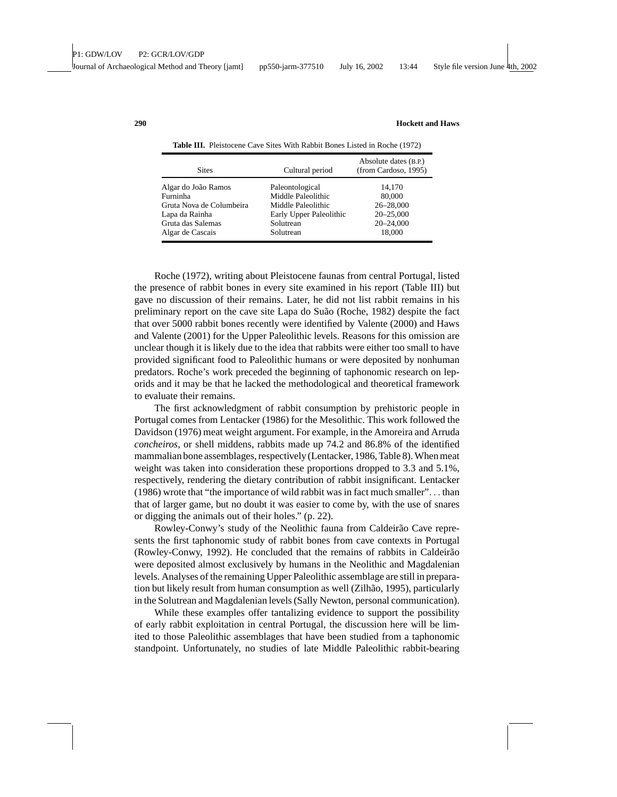| <b>Sites</b>             | Cultural period         | Absolute dates (B.P.)<br>(from Cardoso, 1995) |
|--------------------------|-------------------------|-----------------------------------------------|
| Algar do João Ramos      | Paleontological         | 14,170                                        |
| Furninha                 | Middle Paleolithic      | 80,000                                        |
| Gruta Nova de Columbeira | Middle Paleolithic      | $26 - 28,000$                                 |
| Lapa da Rainha           | Early Upper Paleolithic | $20 - 25,000$                                 |
| Gruta das Salemas        | Solutrean               | $20 - 24,000$                                 |
| Algar de Cascais         | Solutrean               | 18,000                                        |

Table III. Pleistocene Cave Sites With Rabbit Bones Listed in Roche (1972)

Roche (1972), writing about Pleistocene faunas from central Portugal, listed the presence of rabbit bones in every site examined in his report (Table III) but gave no discussion of their remains. Later, he did not list rabbit remains in his preliminary report on the cave site Lapa do Su˜ao (Roche, 1982) despite the fact that over 5000 rabbit bones recently were identified by Valente (2000) and Haws and Valente (2001) for the Upper Paleolithic levels. Reasons for this omission are unclear though it is likely due to the idea that rabbits were either too small to have provided significant food to Paleolithic humans or were deposited by nonhuman predators. Roche's work preceded the beginning of taphonomic research on leporids and it may be that he lacked the methodological and theoretical framework to evaluate their remains.

The first acknowledgment of rabbit consumption by prehistoric people in Portugal comes from Lentacker (1986) for the Mesolithic. This work followed the Davidson (1976) meat weight argument. For example, in the Amoreira and Arruda *concheiros*, or shell middens, rabbits made up 74.2 and 86.8% of the identified mammalian bone assemblages, respectively (Lentacker, 1986, Table 8). When meat weight was taken into consideration these proportions dropped to 3.3 and 5.1%, respectively, rendering the dietary contribution of rabbit insignificant. Lentacker (1986) wrote that "the importance of wild rabbit was in fact much smaller"... than that of larger game, but no doubt it was easier to come by, with the use of snares or digging the animals out of their holes." (p. 22).

Rowley-Conwy's study of the Neolithic fauna from Caldeirão Cave represents the first taphonomic study of rabbit bones from cave contexts in Portugal (Rowley-Conwy, 1992). He concluded that the remains of rabbits in Caldeirão were deposited almost exclusively by humans in the Neolithic and Magdalenian levels. Analyses of the remaining Upper Paleolithic assemblage are still in preparation but likely result from human consumption as well (Zilhão, 1995), particularly in the Solutrean and Magdalenian levels (Sally Newton, personal communication).

While these examples offer tantalizing evidence to support the possibility of early rabbit exploitation in central Portugal, the discussion here will be limited to those Paleolithic assemblages that have been studied from a taphonomic standpoint. Unfortunately, no studies of late Middle Paleolithic rabbit-bearing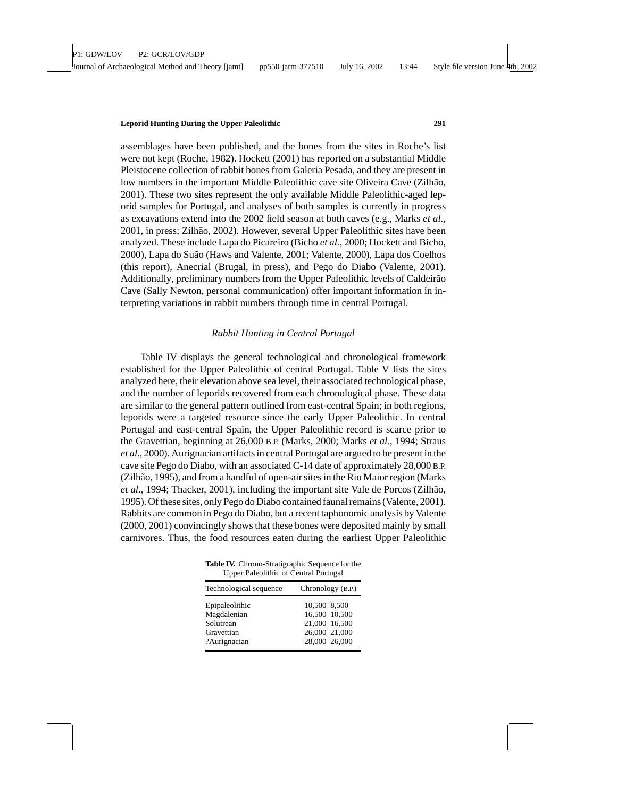assemblages have been published, and the bones from the sites in Roche's list were not kept (Roche, 1982). Hockett (2001) has reported on a substantial Middle Pleistocene collection of rabbit bones from Galeria Pesada, and they are present in low numbers in the important Middle Paleolithic cave site Oliveira Cave (Zilhão, 2001). These two sites represent the only available Middle Paleolithic-aged leporid samples for Portugal, and analyses of both samples is currently in progress as excavations extend into the 2002 field season at both caves (e.g., Marks *et al.*, 2001, in press; Zilhão, 2002). However, several Upper Paleolithic sites have been analyzed. These include Lapa do Picareiro (Bicho *et al.*, 2000; Hockett and Bicho, 2000), Lapa do Su˜ao (Haws and Valente, 2001; Valente, 2000), Lapa dos Coelhos (this report), Anecrial (Brugal, in press), and Pego do Diabo (Valente, 2001). Additionally, preliminary numbers from the Upper Paleolithic levels of Caldeirão Cave (Sally Newton, personal communication) offer important information in interpreting variations in rabbit numbers through time in central Portugal.

## *Rabbit Hunting in Central Portugal*

Table IV displays the general technological and chronological framework established for the Upper Paleolithic of central Portugal. Table V lists the sites analyzed here, their elevation above sea level, their associated technological phase, and the number of leporids recovered from each chronological phase. These data are similar to the general pattern outlined from east-central Spain; in both regions, leporids were a targeted resource since the early Upper Paleolithic. In central Portugal and east-central Spain, the Upper Paleolithic record is scarce prior to the Gravettian, beginning at 26,000 B.P. (Marks, 2000; Marks *et al*., 1994; Straus *et al*., 2000). Aurignacian artifacts in central Portugal are argued to be present in the cave site Pego do Diabo, with an associated C-14 date of approximately 28,000 B.P. (Zilhão, 1995), and from a handful of open-air sites in the Rio Maior region (Marks) *et al.*, 1994; Thacker, 2001), including the important site Vale de Porcos (Zilhão, 1995). Of these sites, only Pego do Diabo contained faunal remains (Valente, 2001). Rabbits are common in Pego do Diabo, but a recent taphonomic analysis by Valente (2000, 2001) convincingly shows that these bones were deposited mainly by small carnivores. Thus, the food resources eaten during the earliest Upper Paleolithic

**Table IV.** Chrono-Stratigraphic Sequence for the Upper Paleolithic of Central Portugal

| Technological sequence | Chronology (B.P.) |
|------------------------|-------------------|
| Epipaleolithic         | 10,500-8,500      |
| Magdalenian            | 16,500-10,500     |
| Solutrean              | 21,000-16,500     |
| Gravettian             | 26,000-21,000     |
| ?Aurignacian           | 28,000-26,000     |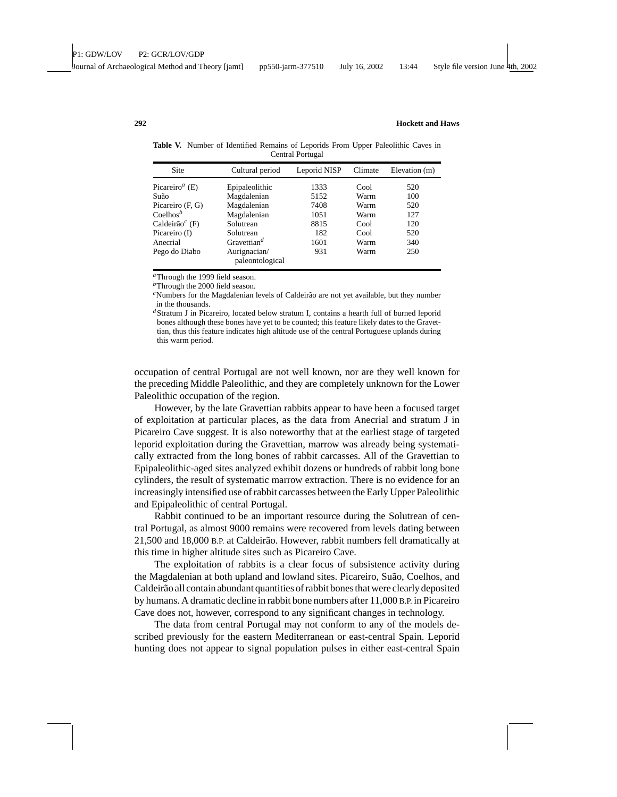| <b>Site</b>                             | Cultural period                 | Leporid NISP | Climate | Elevation (m) |
|-----------------------------------------|---------------------------------|--------------|---------|---------------|
| Picareiro <sup>a</sup> (E)              | Epipaleolithic                  | 1333         | Cool    | 520           |
| Suão                                    | Magdalenian                     | 5152         | Warm    | 100           |
| Picareiro (F, G)                        | Magdalenian                     | 7408         | Warm    | 520           |
| Coelhos <sup>b</sup>                    | Magdalenian                     | 1051         | Warm    | 127           |
| Caldeirão <sup><math>c</math></sup> (F) | Solutrean                       | 8815         | Cool    | 120           |
| Picareiro (I)                           | Solutrean                       | 182          | Cool    | 520           |
| Anecrial                                | Gravettian <sup>d</sup>         | 1601         | Warm    | 340           |
| Pego do Diabo                           | Aurignacian/<br>paleontological | 931          | Warm    | 250           |

**Table V.** Number of Identified Remains of Leporids From Upper Paleolithic Caves in Central Portugal

*<sup>a</sup>*Through the 1999 field season.

*<sup>b</sup>*Through the 2000 field season.

<sup>c</sup>Numbers for the Magdalenian levels of Caldeirão are not yet available, but they number in the thousands.

*<sup>d</sup>*Stratum J in Picareiro, located below stratum I, contains a hearth full of burned leporid bones although these bones have yet to be counted; this feature likely dates to the Gravettian, thus this feature indicates high altitude use of the central Portuguese uplands during this warm period.

occupation of central Portugal are not well known, nor are they well known for the preceding Middle Paleolithic, and they are completely unknown for the Lower Paleolithic occupation of the region.

However, by the late Gravettian rabbits appear to have been a focused target of exploitation at particular places, as the data from Anecrial and stratum J in Picareiro Cave suggest. It is also noteworthy that at the earliest stage of targeted leporid exploitation during the Gravettian, marrow was already being systematically extracted from the long bones of rabbit carcasses. All of the Gravettian to Epipaleolithic-aged sites analyzed exhibit dozens or hundreds of rabbit long bone cylinders, the result of systematic marrow extraction. There is no evidence for an increasingly intensified use of rabbit carcasses between the Early Upper Paleolithic and Epipaleolithic of central Portugal.

Rabbit continued to be an important resource during the Solutrean of central Portugal, as almost 9000 remains were recovered from levels dating between 21,500 and 18,000 B.P. at Caldeirão. However, rabbit numbers fell dramatically at this time in higher altitude sites such as Picareiro Cave.

The exploitation of rabbits is a clear focus of subsistence activity during the Magdalenian at both upland and lowland sites. Picareiro, Su˜ao, Coelhos, and Caldeirão all contain abundant quantities of rabbit bones that were clearly deposited by humans. A dramatic decline in rabbit bone numbers after 11,000 B.P. in Picareiro Cave does not, however, correspond to any significant changes in technology.

The data from central Portugal may not conform to any of the models described previously for the eastern Mediterranean or east-central Spain. Leporid hunting does not appear to signal population pulses in either east-central Spain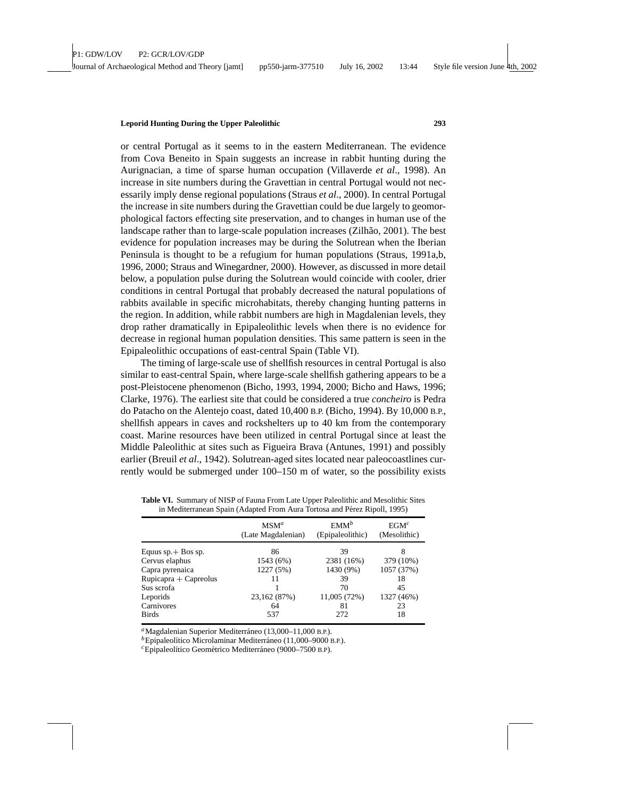or central Portugal as it seems to in the eastern Mediterranean. The evidence from Cova Beneito in Spain suggests an increase in rabbit hunting during the Aurignacian, a time of sparse human occupation (Villaverde *et al*., 1998). An increase in site numbers during the Gravettian in central Portugal would not necessarily imply dense regional populations (Straus *et al*., 2000). In central Portugal the increase in site numbers during the Gravettian could be due largely to geomorphological factors effecting site preservation, and to changes in human use of the landscape rather than to large-scale population increases (Zilhão, 2001). The best evidence for population increases may be during the Solutrean when the Iberian Peninsula is thought to be a refugium for human populations (Straus, 1991a,b, 1996, 2000; Straus and Winegardner, 2000). However, as discussed in more detail below, a population pulse during the Solutrean would coincide with cooler, drier conditions in central Portugal that probably decreased the natural populations of rabbits available in specific microhabitats, thereby changing hunting patterns in the region. In addition, while rabbit numbers are high in Magdalenian levels, they drop rather dramatically in Epipaleolithic levels when there is no evidence for decrease in regional human population densities. This same pattern is seen in the Epipaleolithic occupations of east-central Spain (Table VI).

The timing of large-scale use of shellfish resources in central Portugal is also similar to east-central Spain, where large-scale shellfish gathering appears to be a post-Pleistocene phenomenon (Bicho, 1993, 1994, 2000; Bicho and Haws, 1996; Clarke, 1976). The earliest site that could be considered a true *concheiro* is Pedra do Patacho on the Alentejo coast, dated 10,400 B.P. (Bicho, 1994). By 10,000 B.P., shellfish appears in caves and rockshelters up to 40 km from the contemporary coast. Marine resources have been utilized in central Portugal since at least the Middle Paleolithic at sites such as Figueira Brava (Antunes, 1991) and possibly earlier (Breuil *et al*., 1942). Solutrean-aged sites located near paleocoastlines currently would be submerged under 100–150 m of water, so the possibility exists

|                         | $MSM^a$<br>(Late Magdalenian) | $EMM^b$<br>(Epipaleolithic) | EGM <sup>c</sup><br>(Mesolithic) |
|-------------------------|-------------------------------|-----------------------------|----------------------------------|
| Equus $sp.+$ Bos $sp.$  | 86                            | 39                          |                                  |
| Cervus elaphus          | 1543 (6%)                     | 2381 (16%)                  | 379 (10%)                        |
| Capra pyrenaica         | 1227 (5%)                     | 1430 (9%)                   | 1057 (37%)                       |
| $Rupicapra + Capreolus$ | 11                            | 39                          | 18                               |
| Sus scrofa              |                               | 70                          | 45                               |
| Leporids                | 23,162 (87%)                  | 11,005 (72%)                | 1327 (46%)                       |
| Carnivores              | 64                            | 81                          | 23                               |
| <b>Birds</b>            | 537                           | 272                         | 18                               |

**Table VI.** Summary of NISP of Fauna From Late Upper Paleolithic and Mesolithic Sites in Mediterranean Spain (Adapted From Aura Tortosa and Pérez Ripoll, 1995)

*a*Magdalenian Superior Mediterráneo (13,000–11,000 B.P.). *b*Epipaleolítico Microlaminar Mediterráneo (11,000–9000 B.P.). *c*Epipaleolítico Geométrico Mediterráneo (9000–7500 B.P.).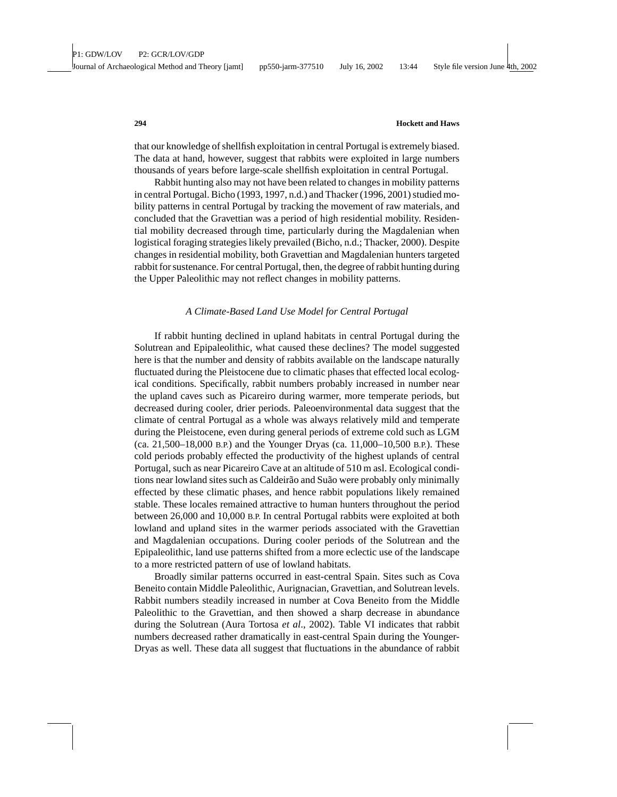that our knowledge of shellfish exploitation in central Portugal is extremely biased. The data at hand, however, suggest that rabbits were exploited in large numbers thousands of years before large-scale shellfish exploitation in central Portugal.

Rabbit hunting also may not have been related to changes in mobility patterns in central Portugal. Bicho (1993, 1997, n.d.) and Thacker (1996, 2001) studied mobility patterns in central Portugal by tracking the movement of raw materials, and concluded that the Gravettian was a period of high residential mobility. Residential mobility decreased through time, particularly during the Magdalenian when logistical foraging strategies likely prevailed (Bicho, n.d.; Thacker, 2000). Despite changes in residential mobility, both Gravettian and Magdalenian hunters targeted rabbit for sustenance. For central Portugal, then, the degree of rabbit hunting during the Upper Paleolithic may not reflect changes in mobility patterns.

## *A Climate-Based Land Use Model for Central Portugal*

If rabbit hunting declined in upland habitats in central Portugal during the Solutrean and Epipaleolithic, what caused these declines? The model suggested here is that the number and density of rabbits available on the landscape naturally fluctuated during the Pleistocene due to climatic phases that effected local ecological conditions. Specifically, rabbit numbers probably increased in number near the upland caves such as Picareiro during warmer, more temperate periods, but decreased during cooler, drier periods. Paleoenvironmental data suggest that the climate of central Portugal as a whole was always relatively mild and temperate during the Pleistocene, even during general periods of extreme cold such as LGM (ca. 21,500–18,000 B.P.) and the Younger Dryas (ca. 11,000–10,500 B.P.). These cold periods probably effected the productivity of the highest uplands of central Portugal, such as near Picareiro Cave at an altitude of 510 m asl. Ecological conditions near lowland sites such as Caldeirão and Suão were probably only minimally effected by these climatic phases, and hence rabbit populations likely remained stable. These locales remained attractive to human hunters throughout the period between 26,000 and 10,000 B.P. In central Portugal rabbits were exploited at both lowland and upland sites in the warmer periods associated with the Gravettian and Magdalenian occupations. During cooler periods of the Solutrean and the Epipaleolithic, land use patterns shifted from a more eclectic use of the landscape to a more restricted pattern of use of lowland habitats.

Broadly similar patterns occurred in east-central Spain. Sites such as Cova Beneito contain Middle Paleolithic, Aurignacian, Gravettian, and Solutrean levels. Rabbit numbers steadily increased in number at Cova Beneito from the Middle Paleolithic to the Gravettian, and then showed a sharp decrease in abundance during the Solutrean (Aura Tortosa *et al*., 2002). Table VI indicates that rabbit numbers decreased rather dramatically in east-central Spain during the Younger-Dryas as well. These data all suggest that fluctuations in the abundance of rabbit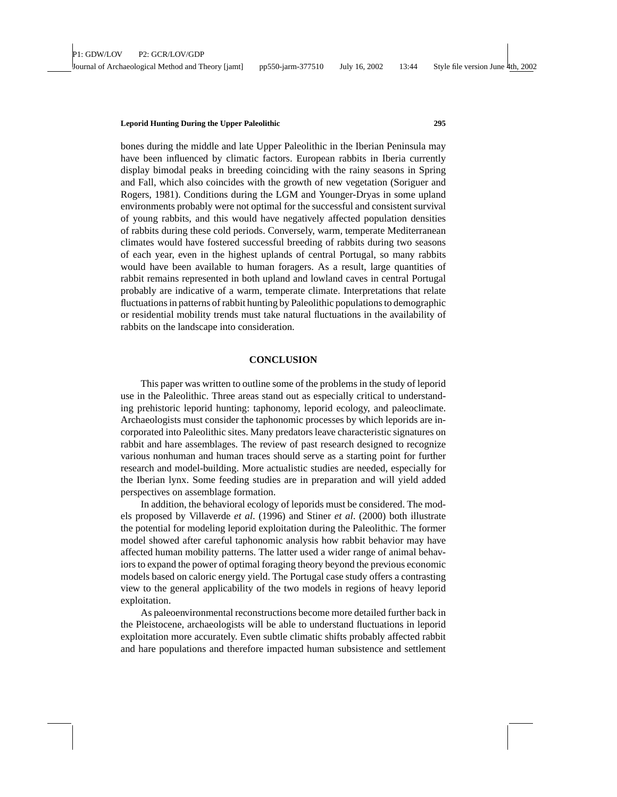bones during the middle and late Upper Paleolithic in the Iberian Peninsula may have been influenced by climatic factors. European rabbits in Iberia currently display bimodal peaks in breeding coinciding with the rainy seasons in Spring and Fall, which also coincides with the growth of new vegetation (Soriguer and Rogers, 1981). Conditions during the LGM and Younger-Dryas in some upland environments probably were not optimal for the successful and consistent survival of young rabbits, and this would have negatively affected population densities of rabbits during these cold periods. Conversely, warm, temperate Mediterranean climates would have fostered successful breeding of rabbits during two seasons of each year, even in the highest uplands of central Portugal, so many rabbits would have been available to human foragers. As a result, large quantities of rabbit remains represented in both upland and lowland caves in central Portugal probably are indicative of a warm, temperate climate. Interpretations that relate fluctuations in patterns of rabbit hunting by Paleolithic populations to demographic or residential mobility trends must take natural fluctuations in the availability of rabbits on the landscape into consideration.

## **CONCLUSION**

This paper was written to outline some of the problems in the study of leporid use in the Paleolithic. Three areas stand out as especially critical to understanding prehistoric leporid hunting: taphonomy, leporid ecology, and paleoclimate. Archaeologists must consider the taphonomic processes by which leporids are incorporated into Paleolithic sites. Many predators leave characteristic signatures on rabbit and hare assemblages. The review of past research designed to recognize various nonhuman and human traces should serve as a starting point for further research and model-building. More actualistic studies are needed, especially for the Iberian lynx. Some feeding studies are in preparation and will yield added perspectives on assemblage formation.

In addition, the behavioral ecology of leporids must be considered. The models proposed by Villaverde *et al*. (1996) and Stiner *et al*. (2000) both illustrate the potential for modeling leporid exploitation during the Paleolithic. The former model showed after careful taphonomic analysis how rabbit behavior may have affected human mobility patterns. The latter used a wider range of animal behaviors to expand the power of optimal foraging theory beyond the previous economic models based on caloric energy yield. The Portugal case study offers a contrasting view to the general applicability of the two models in regions of heavy leporid exploitation.

As paleoenvironmental reconstructions become more detailed further back in the Pleistocene, archaeologists will be able to understand fluctuations in leporid exploitation more accurately. Even subtle climatic shifts probably affected rabbit and hare populations and therefore impacted human subsistence and settlement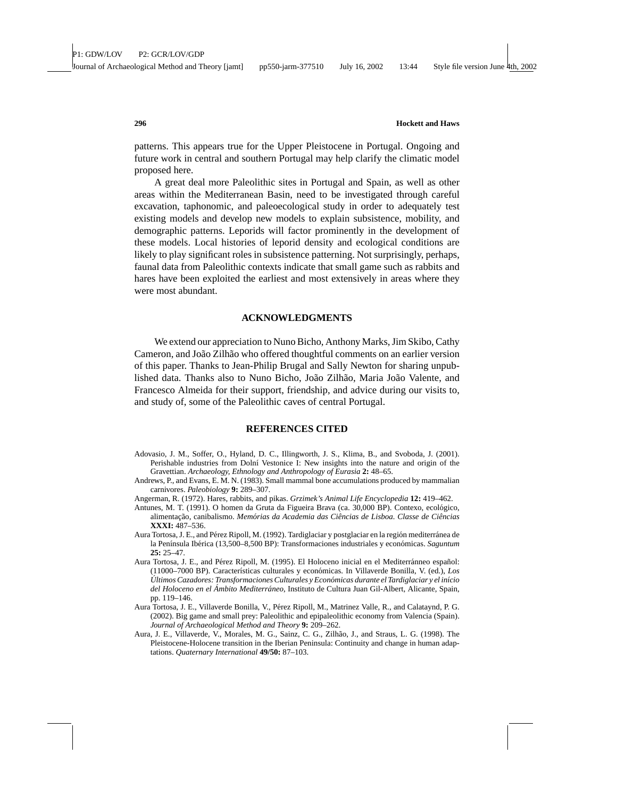**296 Hockett and Haws**

patterns. This appears true for the Upper Pleistocene in Portugal. Ongoing and future work in central and southern Portugal may help clarify the climatic model proposed here.

A great deal more Paleolithic sites in Portugal and Spain, as well as other areas within the Mediterranean Basin, need to be investigated through careful excavation, taphonomic, and paleoecological study in order to adequately test existing models and develop new models to explain subsistence, mobility, and demographic patterns. Leporids will factor prominently in the development of these models. Local histories of leporid density and ecological conditions are likely to play significant roles in subsistence patterning. Not surprisingly, perhaps, faunal data from Paleolithic contexts indicate that small game such as rabbits and hares have been exploited the earliest and most extensively in areas where they were most abundant.

## **ACKNOWLEDGMENTS**

We extend our appreciation to Nuno Bicho, Anthony Marks, Jim Skibo, Cathy Cameron, and João Zilhão who offered thoughtful comments on an earlier version of this paper. Thanks to Jean-Philip Brugal and Sally Newton for sharing unpublished data. Thanks also to Nuno Bicho, João Zilhão, Maria João Valente, and Francesco Almeida for their support, friendship, and advice during our visits to, and study of, some of the Paleolithic caves of central Portugal.

## **REFERENCES CITED**

- Adovasio, J. M., Soffer, O., Hyland, D. C., Illingworth, J. S., Klima, B., and Svoboda, J. (2001). Perishable industries from Dolní Vestonice I: New insights into the nature and origin of the Gravettian. *Archaeology, Ethnology and Anthropology of Eurasia* **2:** 48–65.
- Andrews, P., and Evans, E. M. N. (1983). Small mammal bone accumulations produced by mammalian carnivores. *Paleobiology* **9:** 289–307.
- Angerman, R. (1972). Hares, rabbits, and pikas. *Grzimek's Animal Life Encyclopedia* **12:** 419–462.
- Antunes, M. T. (1991). O homen da Gruta da Figueira Brava (ca. 30,000 BP). Contexo, ecológico, alimenta¸c˜ao, canibalismo. *Memorias da Academia das Ci ´ encias de Lisboa. Classe de Ci ˆ encias ˆ* **XXXI:** 487–536.
- Aura Tortosa, J. E., and Pérez Ripoll, M. (1992). Tardiglaciar y postglaciar en la región mediterránea de la Península Ibérica (13,500–8,500 BP): Transformaciones industriales y económicas. *Saguntum* **25:** 25–47.
- Aura Tortosa, J. E., and Pérez Ripoll, M. (1995). El Holoceno inicial en el Mediterránneo español: (11000-7000 BP). Características culturales y económicas. In Villaverde Bonilla, V. (ed.), *Los Ultimos Cazadores: Transformaciones Culturales y Econ ´ omicas durante el Tardiglaciar y el in ´ ´ıcio del Holoceno en el Ambito Mediterr ´ aneo ´* , Instituto de Cultura Juan Gil-Albert, Alicante, Spain, pp. 119–146.
- Aura Tortosa, J. E., Villaverde Bonilla, V., Pérez Ripoll, M., Matrinez Valle, R., and Calataynd, P. G. (2002). Big game and small prey: Paleolithic and epipaleolithic economy from Valencia (Spain). *Journal of Archaeological Method and Theory* **9:** 209–262.
- Aura, J. E., Villaverde, V., Morales, M. G., Sainz, C. G., Zilhão, J., and Straus, L. G. (1998). The Pleistocene-Holocene transition in the Iberian Peninsula: Continuity and change in human adaptations. *Quaternary International* **49/50:** 87–103.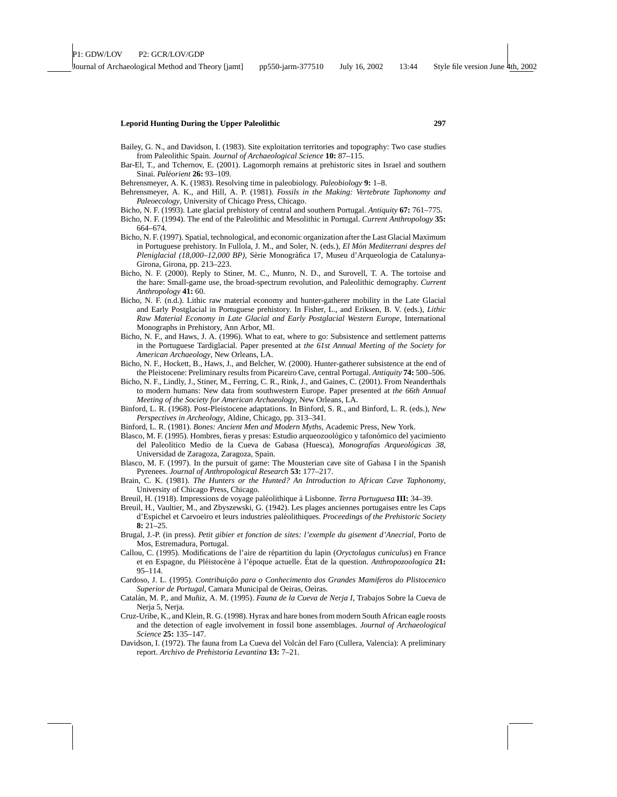- Bailey, G. N., and Davidson, I. (1983). Site exploitation territories and topography: Two case studies from Paleolithic Spain. *Journal of Archaeological Science* **10:** 87–115.
- Bar-El, T., and Tchernov, E. (2001). Lagomorph remains at prehistoric sites in Israel and southern Sinai. *Paleorient ´* **26:** 93–109.
- Behrensmeyer, A. K. (1983). Resolving time in paleobiology. *Paleobiology* **9:** 1–8.
- Behrensmeyer, A. K., and Hill, A. P. (1981). *Fossils in the Making: Vertebrate Taphonomy and Paleoecology*, University of Chicago Press, Chicago.
- Bicho, N. F. (1993). Late glacial prehistory of central and southern Portugal. *Antiquity* **67:** 761–775.
- Bicho, N. F. (1994). The end of the Paleolithic and Mesolithic in Portugal. *Current Anthropology* **35:** 664–674.
- Bicho, N. F. (1997). Spatial, technological, and economic organization after the Last Glacial Maximum in Portuguese prehistory. In Fullola, J. M., and Soler, N. (eds.), *El Mon Mediterrani despres del ´ Pleniglacial (18,000–12,000 BP)*, Sèrie Monogràfica 17, Museu d'Arqueologia de Catalunya-Girona, Girona, pp. 213–223.
- Bicho, N. F. (2000). Reply to Stiner, M. C., Munro, N. D., and Surovell, T. A. The tortoise and the hare: Small-game use, the broad-spectrum revolution, and Paleolithic demography. *Current Anthropology* **41:** 60.
- Bicho, N. F. (n.d.). Lithic raw material economy and hunter-gatherer mobility in the Late Glacial and Early Postglacial in Portuguese prehistory. In Fisher, L., and Eriksen, B. V. (eds.), *Lithic Raw Material Economy in Late Glacial and Early Postglacial Western Europe*, International Monographs in Prehistory, Ann Arbor, MI.
- Bicho, N. F., and Haws, J. A. (1996). What to eat, where to go: Subsistence and settlement patterns in the Portuguese Tardiglacial. Paper presented at *the 61st Annual Meeting of the Society for American Archaeology*, New Orleans, LA.
- Bicho, N. F., Hockett, B., Haws, J., and Belcher, W. (2000). Hunter-gatherer subsistence at the end of the Pleistocene: Preliminary results from Picareiro Cave, central Portugal. *Antiquity* **74:** 500–506.
- Bicho, N. F., Lindly, J., Stiner, M., Ferring, C. R., Rink, J., and Gaines, C. (2001). From Neanderthals to modern humans: New data from southwestern Europe. Paper presented at *the 66th Annual Meeting of the Society for American Archaeology*, New Orleans, LA.
- Binford, L. R. (1968). Post-Pleistocene adaptations. In Binford, S. R., and Binford, L. R. (eds.), *New Perspectives in Archeology*, Aldine, Chicago, pp. 313–341.
- Binford, L. R. (1981). *Bones: Ancient Men and Modern Myths*, Academic Press, New York.
- Blasco, M. F. (1995). Hombres, fieras y presas: Estudio arqueozoológico y tafonómico del yacimiento del Paleolítico Medio de la Cueva de Gabasa (Huesca), *Monografías Arqueológicas 38*, Universidad de Zaragoza, Zaragoza, Spain.
- Blasco, M. F. (1997). In the pursuit of game: The Mousterian cave site of Gabasa I in the Spanish Pyrenees. *Journal of Anthropological Research* **53:** 177–217.
- Brain, C. K. (1981). *The Hunters or the Hunted? An Introduction to African Cave Taphonomy*, University of Chicago Press, Chicago.
- Breuil, H. (1918). Impressions de voyage paléolithique à Lisbonne. *Terra Portuguesa* III: 34–39.
- Breuil, H., Vaultier, M., and Zbyszewski, G. (1942). Les plages anciennes portugaises entre les Caps d'Espichel et Carvoeiro et leurs industries paléolithiques. Proceedings of the Prehistoric Society **8:** 21–25.
- Brugal, J.-P. (in press). *Petit gibier et fonction de sites: l'exemple du gisement d'Anecrial*, Porto de Mos, Estremadura, Portugal.
- Callou, C. (1995). Modifications de l'aire de répartition du lapin (*Oryctolagus cuniculus*) en France et en Espagne, du Pléistocène à l'époque actuelle. État de la question. *Anthropozoologica* 21: 95–114.
- Cardoso, J. L. (1995). *Contribuic¸ao para o Conhecimento dos Grandes Mamiferos do Plistocenico ˜ Superior de Portugal*, Camara Municipal de Oeiras, Oeiras.
- Catalán, M. P., and Muñiz, A. M. (1995). *Fauna de la Cueva de Nerja I*, Trabajos Sobre la Cueva de Neria 5, Neria.
- Cruz-Uribe, K., and Klein, R. G. (1998). Hyrax and hare bones from modern South African eagle roosts and the detection of eagle involvement in fossil bone assemblages. *Journal of Archaeological Science* **25:** 135–147.
- Davidson, I. (1972). The fauna from La Cueva del Volcán del Faro (Cullera, Valencia): A preliminary report. *Archivo de Prehistoria Levantina* **13:** 7–21.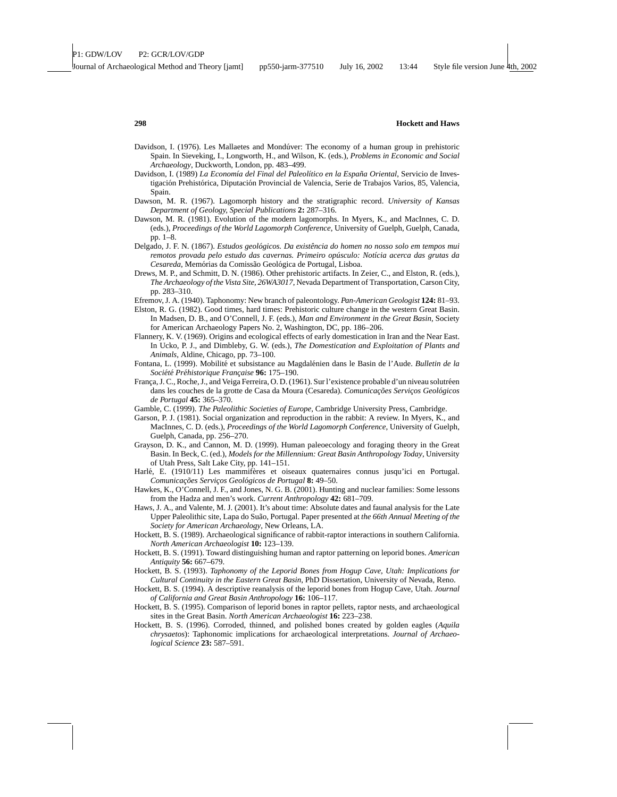- Davidson, I. (1976). Les Mallaetes and Mondúver: The economy of a human group in prehistoric Spain. In Sieveking, I., Longworth, H., and Wilson, K. (eds.), *Problems in Economic and Social Archaeology*, Duckworth, London, pp. 483–499.
- Davidson, I. (1989) *La Economía del Final del Paleolítico en la España Oriental*, Servicio de Investigación Prehistórica, Diputación Provincial de Valencia, Serie de Trabajos Varios, 85, Valencia, Spain.
- Dawson, M. R. (1967). Lagomorph history and the stratigraphic record. *University of Kansas Department of Geology, Special Publications* **2:** 287–316.
- Dawson, M. R. (1981). Evolution of the modern lagomorphs. In Myers, K., and MacInnes, C. D. (eds.), *Proceedings of the World Lagomorph Conference*, University of Guelph, Guelph, Canada, pp. 1–8.
- Delgado, J. F. N. (1867). *Estudos geológicos. Da existência do homen no nosso solo em tempos mui remotos provada pelo estudo das cavernas. Primeiro opusculo: Not ´ ´ıcia acerca das grutas da* Cesareda, Memórias da Comissão Geológica de Portugal, Lisboa.
- Drews, M. P., and Schmitt, D. N. (1986). Other prehistoric artifacts. In Zeier, C., and Elston, R. (eds.), *The Archaeology of the Vista Site, 26WA3017*, Nevada Department of Transportation, Carson City, pp. 283–310.
- Efremov, J. A. (1940). Taphonomy: New branch of paleontology. *Pan-American Geologist* **124:** 81–93.
- Elston, R. G. (1982). Good times, hard times: Prehistoric culture change in the western Great Basin. In Madsen, D. B., and O'Connell, J. F. (eds.), *Man and Environment in the Great Basin*, Society for American Archaeology Papers No. 2, Washington, DC, pp. 186–206.
- Flannery, K. V. (1969). Origins and ecological effects of early domestication in Iran and the Near East. In Ucko, P. J., and Dimbleby, G. W. (eds.), *The Domestication and Exploitation of Plants and Animals*, Aldine, Chicago, pp. 73–100.
- Fontana, L. (1999). Mobilité et subsistance au Magdalénien dans le Basin de l'Aude. *Bulletin de la Societ´ e Pr ´ ehistorique Franc ´ ¸aise* **96:** 175–190.
- França, J. C., Roche, J., and Veiga Ferreira, O. D. (1961). Sur l'existence probable d'un niveau solutréen dans les couches de la grotte de Casa da Moura (Cesareda). *Comunicações Serviços Geológicos de Portugal* **45:** 365–370.
- Gamble, C. (1999). *The Paleolithic Societies of Europe*, Cambridge University Press, Cambridge.
- Garson, P. J. (1981). Social organization and reproduction in the rabbit: A review. In Myers, K., and MacInnes, C. D. (eds.), *Proceedings of the World Lagomorph Conference*, University of Guelph, Guelph, Canada, pp. 256–270.
- Grayson, D. K., and Cannon, M. D. (1999). Human paleoecology and foraging theory in the Great Basin. In Beck, C. (ed.), *Models for the Millennium: Great Basin Anthropology Today*, University of Utah Press, Salt Lake City, pp. 141–151.
- Harlé, E. (1910/11) Les mammifères et oiseaux quaternaires connus jusqu'ici en Portugal. *Comunicac¸oes Servic ˜ ¸os Geologicos de Portugal ´* **8:** 49–50.
- Hawkes, K., O'Connell, J. F., and Jones, N. G. B. (2001). Hunting and nuclear families: Some lessons from the Hadza and men's work. *Current Anthropology* **42:** 681–709.
- Haws, J. A., and Valente, M. J. (2001). It's about time: Absolute dates and faunal analysis for the Late Upper Paleolithic site, Lapa do Suão, Portugal. Paper presented at *the 66th Annual Meeting of the Society for American Archaeology*, New Orleans, LA.
- Hockett, B. S. (1989). Archaeological significance of rabbit-raptor interactions in southern California. *North American Archaeologist* **10:** 123–139.
- Hockett, B. S. (1991). Toward distinguishing human and raptor patterning on leporid bones. *American Antiquity* **56:** 667–679.
- Hockett, B. S. (1993). *Taphonomy of the Leporid Bones from Hogup Cave, Utah: Implications for Cultural Continuity in the Eastern Great Basin*, PhD Dissertation, University of Nevada, Reno.
- Hockett, B. S. (1994). A descriptive reanalysis of the leporid bones from Hogup Cave, Utah. *Journal of California and Great Basin Anthropology* **16:** 106–117.
- Hockett, B. S. (1995). Comparison of leporid bones in raptor pellets, raptor nests, and archaeological sites in the Great Basin. *North American Archaeologist* **16:** 223–238.
- Hockett, B. S. (1996). Corroded, thinned, and polished bones created by golden eagles (*Aquila chrysaetos*): Taphonomic implications for archaeological interpretations. *Journal of Archaeological Science* **23:** 587–591.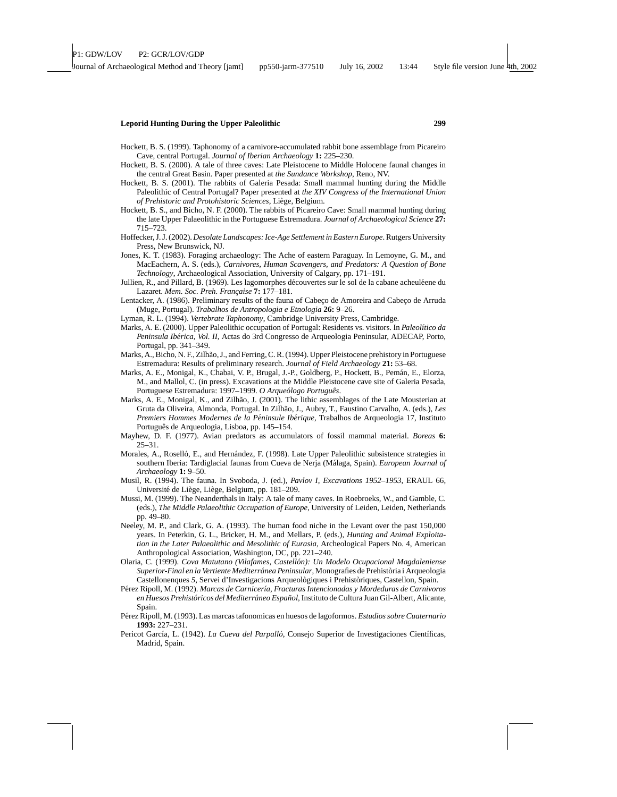- Hockett, B. S. (1999). Taphonomy of a carnivore-accumulated rabbit bone assemblage from Picareiro Cave, central Portugal. *Journal of Iberian Archaeology* **1:** 225–230.
- Hockett, B. S. (2000). A tale of three caves: Late Pleistocene to Middle Holocene faunal changes in the central Great Basin. Paper presented at *the Sundance Workshop*, Reno, NV.
- Hockett, B. S. (2001). The rabbits of Galeria Pesada: Small mammal hunting during the Middle Paleolithic of Central Portugal? Paper presented at *the XIV Congress of the International Union of Prehistoric and Protohistoric Sciences*, Liège, Belgium.
- Hockett, B. S., and Bicho, N. F. (2000). The rabbits of Picareiro Cave: Small mammal hunting during the late Upper Palaeolithic in the Portuguese Estremadura. *Journal of Archaeological Science* **27:** 715–723.
- Hoffecker, J. J. (2002). *Desolate Landscapes: Ice-Age Settlement in Eastern Europe*. Rutgers University Press, New Brunswick, NJ.
- Jones, K. T. (1983). Foraging archaeology: The Ache of eastern Paraguay. In Lemoyne, G. M., and MacEachern, A. S. (eds.), *Carnivores, Human Scavengers, and Predators: A Question of Bone Technology*, Archaeological Association, University of Calgary, pp. 171–191.
- Jullien, R., and Pillard, B. (1969). Les lagomorphes découvertes sur le sol de la cabane acheuléene du Lazaret. Mem. Soc. Preh. Française 7: 177-181.
- Lentacker, A. (1986). Preliminary results of the fauna of Cabeço de Amoreira and Cabeço de Arruda (Muge, Portugal). *Trabalhos de Antropologia e Etnologia* **26:** 9–26.
- Lyman, R. L. (1994). *Vertebrate Taphonomy*, Cambridge University Press, Cambridge.
- Marks, A. E. (2000). Upper Paleolithic occupation of Portugal: Residents vs. visitors. In *Paleolítico da Peninsula Iberica, Vol. II ´* , Actas do 3rd Congresso de Arqueologia Peninsular, ADECAP, Porto, Portugal, pp. 341–349.
- Marks, A., Bicho, N. F., Zilhão, J., and Ferring, C. R. (1994). Upper Pleistocene prehistory in Portuguese Estremadura: Results of preliminary research. *Journal of Field Archaeology* **21:** 53–68.
- Marks, A. E., Monigal, K., Chabai, V. P., Brugal, J.-P., Goldberg, P., Hockett, B., Pemán, E., Elorza, M., and Mallol, C. (in press). Excavations at the Middle Pleistocene cave site of Galeria Pesada, Portuguese Estremadura: 1997–1999. O Arqueólogo Português.
- Marks, A. E., Monigal, K., and Zilhão, J. (2001). The lithic assemblages of the Late Mousterian at Gruta da Oliveira, Almonda, Portugal. In Zilh˜ao, J., Aubry, T., Faustino Carvalho, A. (eds.), *Les Premiers Hommes Modernes de la Peninsule Ib ´ erique ´* , Trabalhos de Arqueologia 17, Instituto Português de Arqueologia, Lisboa, pp. 145–154.
- Mayhew, D. F. (1977). Avian predators as accumulators of fossil mammal material. *Boreas* **6:** 25–31.
- Morales, A., Roselló, E., and Hernández, F. (1998). Late Upper Paleolithic subsistence strategies in southern Iberia: Tardiglacial faunas from Cueva de Nerja (M´alaga, Spain). *European Journal of Archaeology* **1:** 9–50.
- Musil, R. (1994). The fauna. In Svoboda, J. (ed.), *Pavlov I, Excavations 1952–1953*, ERAUL 66, Université de Liège, Liège, Belgium, pp. 181–209.
- Mussi, M. (1999). The Neanderthals in Italy: A tale of many caves. In Roebroeks, W., and Gamble, C. (eds.), *The Middle Palaeolithic Occupation of Europe*, University of Leiden, Leiden, Netherlands pp. 49–80.
- Neeley, M. P., and Clark, G. A. (1993). The human food niche in the Levant over the past 150,000 years. In Peterkin, G. L., Bricker, H. M., and Mellars, P. (eds.), *Hunting and Animal Exploitation in the Later Palaeolithic and Mesolithic of Eurasia*, Archeological Papers No. 4, American Anthropological Association, Washington, DC, pp. 221–240.
- Olaria, C. (1999). *Cova Matutano (Vilafames, Castellon): Un Modelo Ocupacional Magdaleniense ´ Superior-Final en la Vertiente Mediterranea Peninsular ´* , Monografies de Prehist`oria i Arqueologia Castellonenques 5, Servei d'Investigacions Arqueològiques i Prehistòriques, Castellon, Spain.
- Pérez Ripoll, M. (1992). *Marcas de Carnicería, Fracturas Intencionadas y Mordeduras de Carnivoros en Huesos Prehistoricos del Mediterr ´ aneo Espa ´ nol ˜* , Instituto de Cultura Juan Gil-Albert, Alicante, Spain.
- P´erez Ripoll, M. (1993). Las marcas tafonomicas en huesos de lagoformos. *Estudios sobre Cuaternario* **1993:** 227–231.
- Pericot García, L. (1942). *La Cueva del Parpalló*, Consejo Superior de Investigaciones Científicas, Madrid, Spain.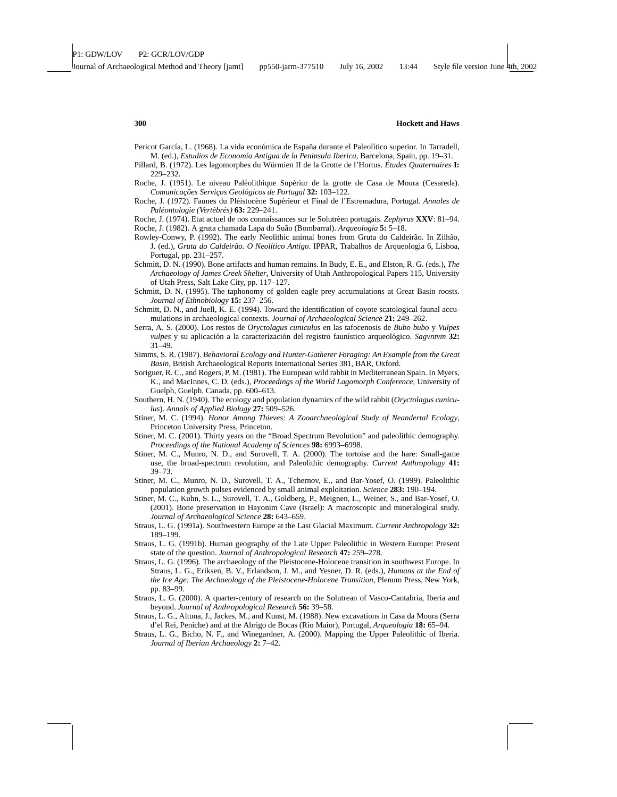- Pericot García, L. (1968). La vida económica de España durante el Paleolítico superior. In Tarradell, M. (ed.), *Estudios de Economía Antigua de la Peninsula Iberica*, Barcelona, Spain, pp. 19–31.
- Pillard, B. (1972). Les lagomorphes du Würmien II de la Grotte de l'Hortus. Études Quaternaires **I:** 229–232.
- Roche, J. (1951). Le niveau Paléolithique Supériur de la grotte de Casa de Moura (Cesareda). *Comunicac¸oes Servic ˜ ¸os Geologicos de Portugal ´* **32:** 103–122.
- Roche, J. (1972). Faunes du Pléistocène Supérieur et Final de l'Estremadura, Portugal. *Annales de Paleontologie (Vert ´ ebr ´ es) ´* **63:** 229–241.
- Roche, J. (1974). Etat actuel de nos connaissances sur le Solutr´een portugais. *Zephyrus* **XXV**: 81–94. Roche, J. (1982). A gruta chamada Lapa do Su˜ao (Bombarral). *Arqueologia* **5:** 5–18.
- Rowley-Conwy, P. (1992). The early Neolithic animal bones from Gruta do Caldeirão. In Zilhão,
- J. (ed.), *Gruta do Caldeirao. O Neol ˜ ´ıtico Antigo*. IPPAR, Trabalhos de Arqueologia 6, Lisboa, Portugal, pp. 231–257. Schmitt, D. N. (1990). Bone artifacts and human remains. In Budy, E. E., and Elston, R. G. (eds.), *The*
- *Archaeology of James Creek Shelter*, University of Utah Anthropological Papers 115, University of Utah Press, Salt Lake City, pp. 117–127.
- Schmitt, D. N. (1995). The taphonomy of golden eagle prey accumulations at Great Basin roosts. *Journal of Ethnobiology* **15:** 237–256.
- Schmitt, D. N., and Juell, K. E. (1994). Toward the identification of coyote scatological faunal accumulations in archaeological contexts. *Journal of Archaeological Science* **21:** 249–262.
- Serra, A. S. (2000). Los restos de *Oryctolagus cuniculus* en las tafocenosis de *Bubo bubo* y *Vulpes vulpes* y su aplicación a la caracterización del registro faunístico arqueológico. *Sagvntvm* 32: 31–49.
- Simms, S. R. (1987). *Behavioral Ecology and Hunter-Gatherer Foraging: An Example from the Great Basin*, British Archaeological Reports International Series 381, BAR, Oxford.
- Soriguer, R. C., and Rogers, P. M. (1981). The European wild rabbit in Mediterranean Spain. In Myers, K., and MacInnes, C. D. (eds.), *Proceedings of the World Lagomorph Conference*, University of Guelph, Guelph, Canada, pp. 600–613.
- Southern, H. N. (1940). The ecology and population dynamics of the wild rabbit (*Oryctolagus cuniculus*). *Annals of Applied Biology* **27:** 509–526.
- Stiner, M. C. (1994). *Honor Among Thieves: A Zooarchaeological Study of Neandertal Ecology*, Princeton University Press, Princeton.
- Stiner, M. C. (2001). Thirty years on the "Broad Spectrum Revolution" and paleolithic demography. *Proceedings of the National Academy of Sciences* **98:** 6993–6998.
- Stiner, M. C., Munro, N. D., and Surovell, T. A. (2000). The tortoise and the hare: Small-game use, the broad-spectrum revolution, and Paleolithic demography. *Current Anthropology* **41:** 39–73.
- Stiner, M. C., Munro, N. D., Surovell, T. A., Tchernov, E., and Bar-Yosef, O. (1999). Paleolithic population growth pulses evidenced by small animal exploitation. *Science* **283:** 190–194.
- Stiner, M. C., Kuhn, S. L., Surovell, T. A., Goldberg, P., Meignen, L., Weiner, S., and Bar-Yosef, O. (2001). Bone preservation in Hayonim Cave (Israel): A macroscopic and mineralogical study. *Journal of Archaeological Science* **28:** 643–659.
- Straus, L. G. (1991a). Southwestern Europe at the Last Glacial Maximum. *Current Anthropology* **32:** 189–199.
- Straus, L. G. (1991b). Human geography of the Late Upper Paleolithic in Western Europe: Present state of the question. *Journal of Anthropological Research* **47:** 259–278.
- Straus, L. G. (1996). The archaeology of the Pleistocene-Holocene transition in southwest Europe. In Straus, L. G., Eriksen, B. V., Erlandson, J. M., and Yesner, D. R. (eds.), *Humans at the End of the Ice Age: The Archaeology of the Pleistocene-Holocene Transition*, Plenum Press, New York, pp. 83–99.
- Straus, L. G. (2000). A quarter-century of research on the Solutrean of Vasco-Cantabria, Iberia and beyond. *Journal of Anthropological Research* **56:** 39–58.
- Straus, L. G., Altuna, J., Jackes, M., and Kunst, M. (1988). New excavations in Casa da Moura (Serra d'el Rei, Peniche) and at the Abrigo de Bocas (Rio Maior), Portugal, *Arqueologia* **18:** 65–94.
- Straus, L. G., Bicho, N. F., and Winegardner, A. (2000). Mapping the Upper Paleolithic of Iberia. *Journal of Iberian Archaeology* **2:** 7–42.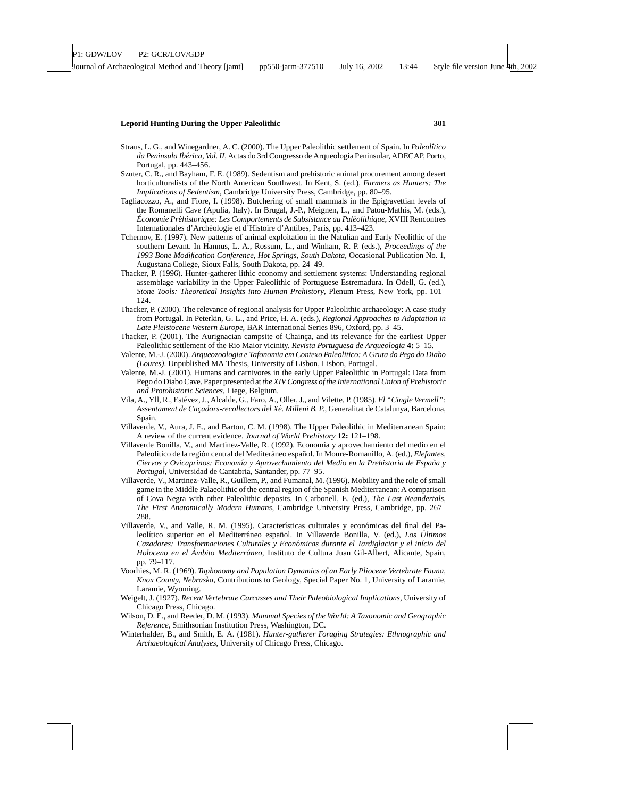- Straus, L. G., and Winegardner, A. C. (2000). The Upper Paleolithic settlement of Spain. In *Paleolˆıtico da Peninsula Iberica, Vol. II ´* , Actas do 3rd Congresso de Arqueologia Peninsular, ADECAP, Porto, Portugal, pp. 443–456.
- Szuter, C. R., and Bayham, F. E. (1989). Sedentism and prehistoric animal procurement among desert horticulturalists of the North American Southwest. In Kent, S. (ed.), *Farmers as Hunters: The Implications of Sedentism*, Cambridge University Press, Cambridge, pp. 80–95.
- Tagliacozzo, A., and Fiore, I. (1998). Butchering of small mammals in the Epigravettian levels of the Romanelli Cave (Apulia, Italy). In Brugal, J.-P., Meignen, L., and Patou-Mathis, M. (eds.), *Economie Pr ´ ehistorique: Les Comportements de Subsistance au Pal ´ eolithique ´* , XVIII Rencontres Internationales d'Archéologie et d'Histoire d'Antibes, Paris, pp. 413–423.
- Tchernov, E. (1997). New patterns of animal exploitation in the Natufian and Early Neolithic of the southern Levant. In Hannus, L. A., Rossum, L., and Winham, R. P. (eds.), *Proceedings of the 1993 Bone Modification Conference, Hot Springs, South Dakota*, Occasional Publication No. 1, Augustana College, Sioux Falls, South Dakota, pp. 24–49.
- Thacker, P. (1996). Hunter-gatherer lithic economy and settlement systems: Understanding regional assemblage variability in the Upper Paleolithic of Portuguese Estremadura. In Odell, G. (ed.), *Stone Tools: Theoretical Insights into Human Prehistory*, Plenum Press, New York, pp. 101– 124.
- Thacker, P. (2000). The relevance of regional analysis for Upper Paleolithic archaeology: A case study from Portugal. In Peterkin, G. L., and Price, H. A. (eds.), *Regional Approaches to Adaptation in Late Pleistocene Western Europe*, BAR International Series 896, Oxford, pp. 3–45.
- Thacker, P. (2001). The Aurignacian campsite of Chainca, and its relevance for the earliest Upper Paleolithic settlement of the Rio Maior vicinity. *Revista Portuguesa de Arqueologia* **4:** 5–15.
- Valente, M.-J. (2000). *Arqueozoologia e Tafonomia em Contexo Paleolitico: A Gruta do Pego do Diabo (Loures)*. Unpublished MA Thesis, University of Lisbon, Lisbon, Portugal.
- Valente, M.-J. (2001). Humans and carnivores in the early Upper Paleolithic in Portugal: Data from Pego do Diabo Cave. Paper presented at *the XIV Congress of the International Union of Prehistoric and Protohistoric Sciences*, Liege, Belgium.
- Vila, A., Yll, R., Estévez, J., Alcalde, G., Faro, A., Oller, J., and Vilette, P. (1985). *El "Cingle Vermell"*: *Assentament de Cac¸adors-recollectors del Xe. Milleni B. P. ´* , Generalitat de Catalunya, Barcelona, Spain.
- Villaverde, V., Aura, J. E., and Barton, C. M. (1998). The Upper Paleolithic in Mediterranean Spain: A review of the current evidence. *Journal of World Prehistory* **12:** 121–198.
- Villaverde Bonilla, V., and Martinez-Valle, R. (1992). Economía y aprovechamiento del medio en el Paleolítico de la región central del Mediteráneo español. In Moure-Romanillo, A. (ed.), *Elefantes*, *Ciervos y Ovicaprinos: Econom´ıa y Aprovechamiento del Medio en la Prehistoria de Espana y ˜ Portugal*, Universidad de Cantabria, Santander, pp. 77–95.
- Villaverde, V., Martinez-Valle, R., Guillem, P., and Fumanal, M. (1996). Mobility and the role of small game in the Middle Palaeolithic of the central region of the Spanish Mediterranean: A comparison of Cova Negra with other Paleolithic deposits. In Carbonell, E. (ed.), *The Last Neandertals, The First Anatomically Modern Humans*, Cambridge University Press, Cambridge, pp. 267– 288.
- Villaverde, V., and Valle, R. M. (1995). Características culturales y económicas del final del Paleol´ıtico superior en el Mediterr´aneo espa˜nol. In Villaverde Bonilla, V. (ed.), *Los Ultimos ´ Cazadores: Transformaciones Culturales y Economicas durante el Tardiglaciar y el in ´ ´ıcio del Holoceno en el Ámbito Mediterráneo*, Instituto de Cultura Juan Gil-Albert, Alicante, Spain, pp. 79–117.
- Voorhies, M. R. (1969). *Taphonomy and Population Dynamics of an Early Pliocene Vertebrate Fauna, Knox County, Nebraska*, Contributions to Geology, Special Paper No. 1, University of Laramie, Laramie, Wyoming.
- Weigelt, J. (1927). *Recent Vertebrate Carcasses and Their Paleobiological Implications*, University of Chicago Press, Chicago.
- Wilson, D. E., and Reeder, D. M. (1993). *Mammal Species of the World: A Taxonomic and Geographic Reference*, Smithsonian Institution Press, Washington, DC.
- Winterhalder, B., and Smith, E. A. (1981). *Hunter-gatherer Foraging Strategies: Ethnographic and Archaeological Analyses*, University of Chicago Press, Chicago.